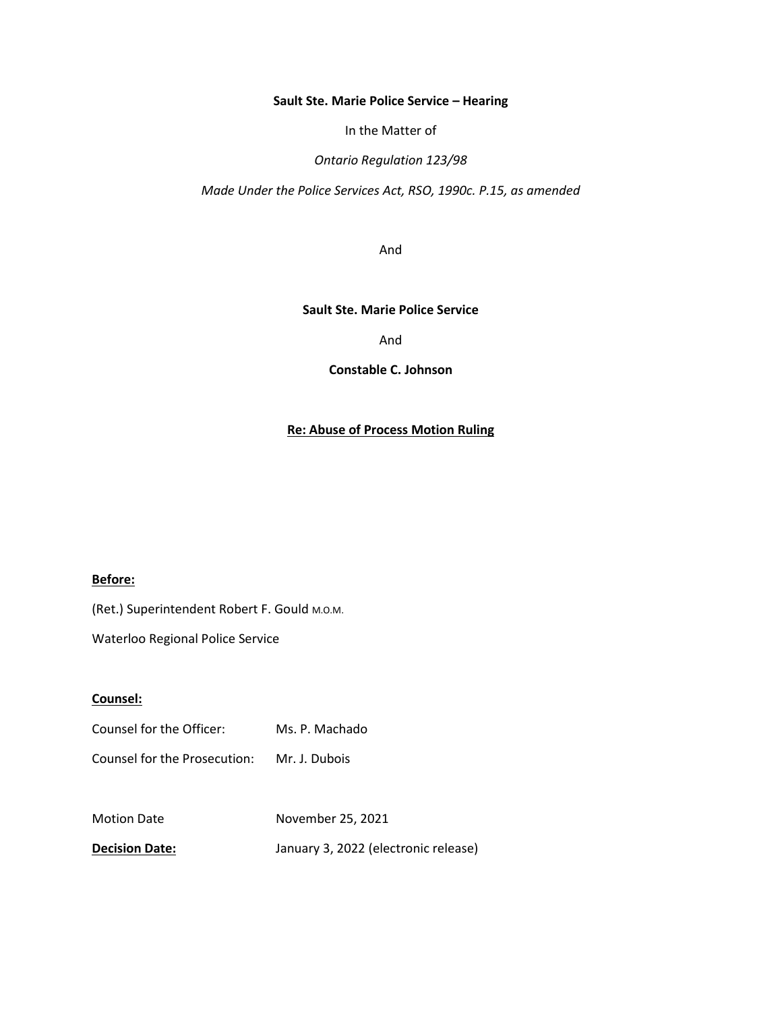#### **Sault Ste. Marie Police Service – Hearing**

In the Matter of

*Ontario Regulation 123/98*

*Made Under the Police Services Act, RSO, 1990c. P.15, as amended*

And

#### **Sault Ste. Marie Police Service**

And

**Constable C. Johnson**

## **Re: Abuse of Process Motion Ruling**

#### **Before:**

(Ret.) Superintendent Robert F. Gould M.O.M.

Waterloo Regional Police Service

### **Counsel:**

| Counsel for the Officer: | Ms. P. Machado |
|--------------------------|----------------|
|                          |                |

Counsel for the Prosecution: Mr. J. Dubois

Motion Date November 25, 2021

**Decision Date:** January 3, 2022 (electronic release)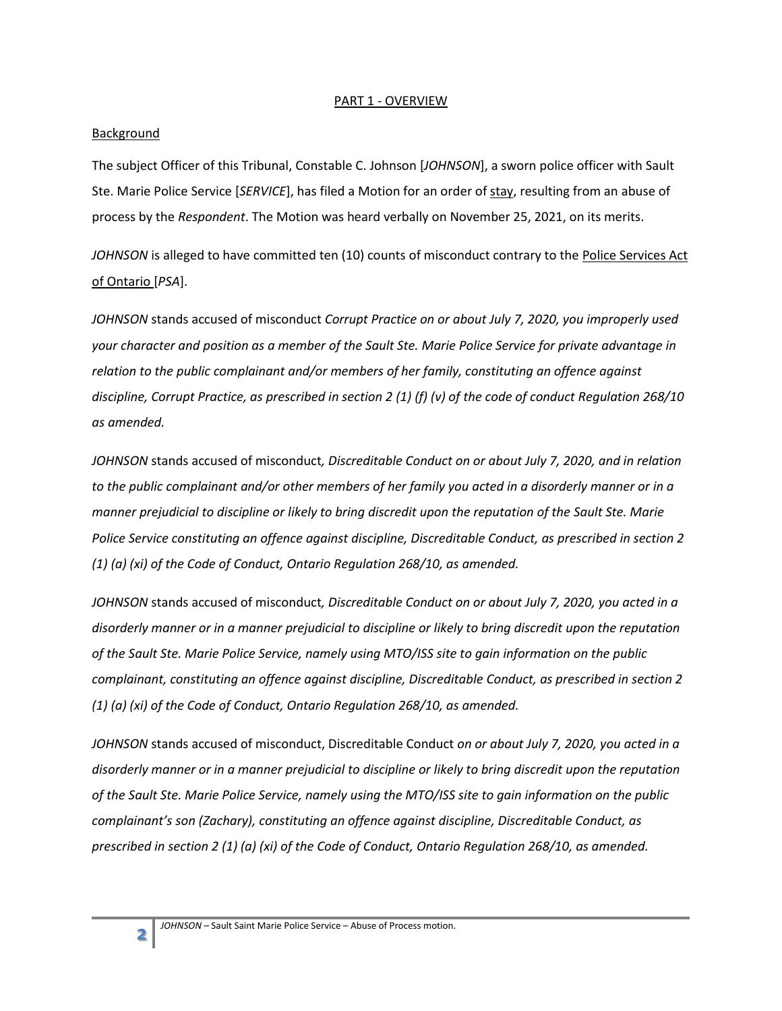### PART 1 - OVERVIEW

### **Background**

The subject Officer of this Tribunal, Constable C. Johnson [*JOHNSON*], a sworn police officer with Sault Ste. Marie Police Service [*SERVICE*], has filed a Motion for an order of stay, resulting from an abuse of process by the *Respondent*. The Motion was heard verbally on November 25, 2021, on its merits.

*JOHNSON* is alleged to have committed ten (10) counts of misconduct contrary to the Police Services Act of Ontario [*PSA*].

*JOHNSON* stands accused of misconduct *Corrupt Practice on or about July 7, 2020, you improperly used your character and position as a member of the Sault Ste. Marie Police Service for private advantage in relation to the public complainant and/or members of her family, constituting an offence against discipline, Corrupt Practice, as prescribed in section 2 (1) (f) (v) of the code of conduct Regulation 268/10 as amended.*

*JOHNSON* stands accused of misconduct*, Discreditable Conduct on or about July 7, 2020, and in relation to the public complainant and/or other members of her family you acted in a disorderly manner or in a manner prejudicial to discipline or likely to bring discredit upon the reputation of the Sault Ste. Marie Police Service constituting an offence against discipline, Discreditable Conduct, as prescribed in section 2 (1) (a) (xi) of the Code of Conduct, Ontario Regulation 268/10, as amended.*

*JOHNSON* stands accused of misconduct*, Discreditable Conduct on or about July 7, 2020, you acted in a disorderly manner or in a manner prejudicial to discipline or likely to bring discredit upon the reputation of the Sault Ste. Marie Police Service, namely using MTO/ISS site to gain information on the public complainant, constituting an offence against discipline, Discreditable Conduct, as prescribed in section 2 (1) (a) (xi) of the Code of Conduct, Ontario Regulation 268/10, as amended.*

*JOHNSON* stands accused of misconduct, Discreditable Conduct *on or about July 7, 2020, you acted in a disorderly manner or in a manner prejudicial to discipline or likely to bring discredit upon the reputation of the Sault Ste. Marie Police Service, namely using the MTO/ISS site to gain information on the public complainant's son (Zachary), constituting an offence against discipline, Discreditable Conduct, as prescribed in section 2 (1) (a) (xi) of the Code of Conduct, Ontario Regulation 268/10, as amended.*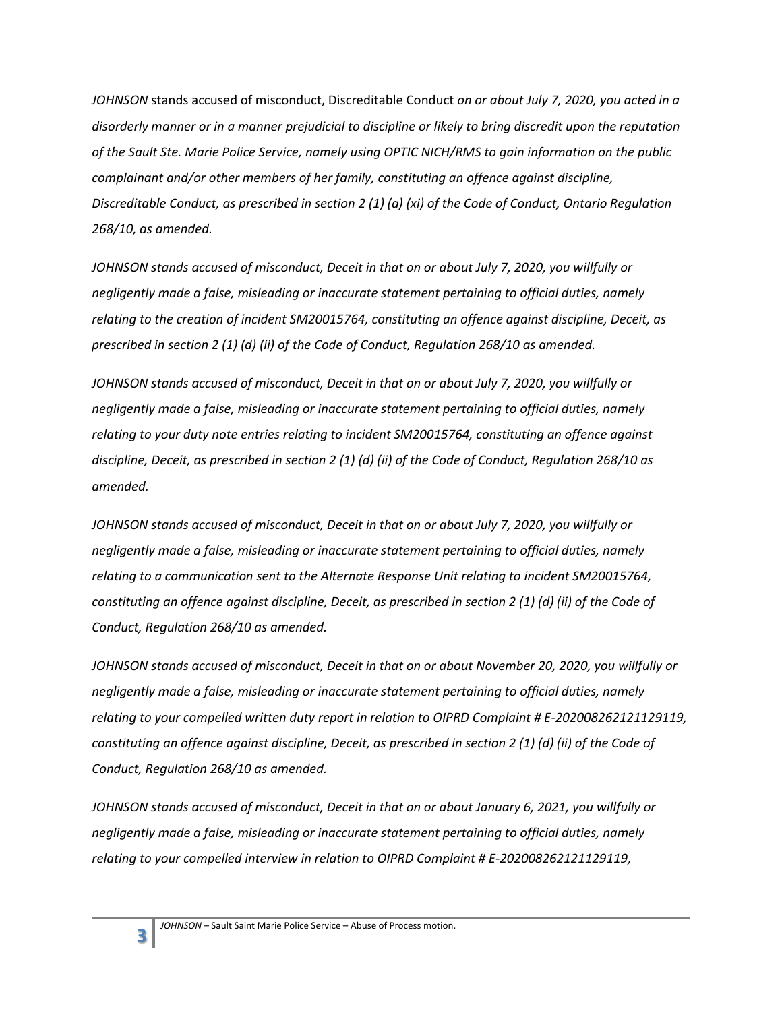*JOHNSON* stands accused of misconduct, Discreditable Conduct *on or about July 7, 2020, you acted in a disorderly manner or in a manner prejudicial to discipline or likely to bring discredit upon the reputation of the Sault Ste. Marie Police Service, namely using OPTIC NICH/RMS to gain information on the public complainant and/or other members of her family, constituting an offence against discipline, Discreditable Conduct, as prescribed in section 2 (1) (a) (xi) of the Code of Conduct, Ontario Regulation 268/10, as amended.*

*JOHNSON stands accused of misconduct, Deceit in that on or about July 7, 2020, you willfully or negligently made a false, misleading or inaccurate statement pertaining to official duties, namely relating to the creation of incident SM20015764, constituting an offence against discipline, Deceit, as prescribed in section 2 (1) (d) (ii) of the Code of Conduct, Regulation 268/10 as amended.*

*JOHNSON stands accused of misconduct, Deceit in that on or about July 7, 2020, you willfully or negligently made a false, misleading or inaccurate statement pertaining to official duties, namely relating to your duty note entries relating to incident SM20015764, constituting an offence against discipline, Deceit, as prescribed in section 2 (1) (d) (ii) of the Code of Conduct, Regulation 268/10 as amended.*

*JOHNSON stands accused of misconduct, Deceit in that on or about July 7, 2020, you willfully or negligently made a false, misleading or inaccurate statement pertaining to official duties, namely relating to a communication sent to the Alternate Response Unit relating to incident SM20015764, constituting an offence against discipline, Deceit, as prescribed in section 2 (1) (d) (ii) of the Code of Conduct, Regulation 268/10 as amended.*

*JOHNSON stands accused of misconduct, Deceit in that on or about November 20, 2020, you willfully or negligently made a false, misleading or inaccurate statement pertaining to official duties, namely relating to your compelled written duty report in relation to OIPRD Complaint # E-202008262121129119, constituting an offence against discipline, Deceit, as prescribed in section 2 (1) (d) (ii) of the Code of Conduct, Regulation 268/10 as amended.*

*JOHNSON stands accused of misconduct, Deceit in that on or about January 6, 2021, you willfully or negligently made a false, misleading or inaccurate statement pertaining to official duties, namely relating to your compelled interview in relation to OIPRD Complaint # E-202008262121129119,* 

**3**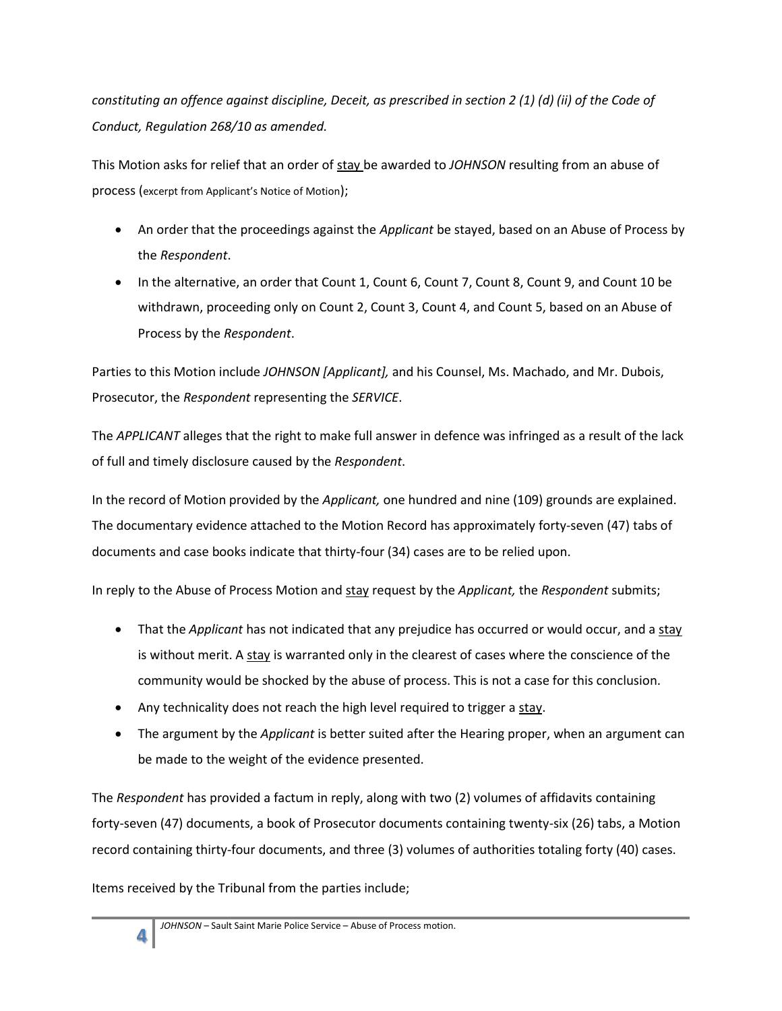*constituting an offence against discipline, Deceit, as prescribed in section 2 (1) (d) (ii) of the Code of Conduct, Regulation 268/10 as amended.*

This Motion asks for relief that an order of stay be awarded to *JOHNSON* resulting from an abuse of process (excerpt from Applicant's Notice of Motion);

- An order that the proceedings against the *Applicant* be stayed, based on an Abuse of Process by the *Respondent*.
- In the alternative, an order that Count 1, Count 6, Count 7, Count 8, Count 9, and Count 10 be withdrawn, proceeding only on Count 2, Count 3, Count 4, and Count 5, based on an Abuse of Process by the *Respondent*.

Parties to this Motion include *JOHNSON [Applicant],* and his Counsel, Ms. Machado, and Mr. Dubois, Prosecutor, the *Respondent* representing the *SERVICE*.

The *APPLICANT* alleges that the right to make full answer in defence was infringed as a result of the lack of full and timely disclosure caused by the *Respondent*.

In the record of Motion provided by the *Applicant,* one hundred and nine (109) grounds are explained. The documentary evidence attached to the Motion Record has approximately forty-seven (47) tabs of documents and case books indicate that thirty-four (34) cases are to be relied upon.

In reply to the Abuse of Process Motion and stay request by the *Applicant,* the *Respondent* submits;

- That the *Applicant* has not indicated that any prejudice has occurred or would occur, and a stay is without merit. A stay is warranted only in the clearest of cases where the conscience of the community would be shocked by the abuse of process. This is not a case for this conclusion.
- Any technicality does not reach the high level required to trigger a stay.
- The argument by the *Applicant* is better suited after the Hearing proper, when an argument can be made to the weight of the evidence presented.

The *Respondent* has provided a factum in reply, along with two (2) volumes of affidavits containing forty-seven (47) documents, a book of Prosecutor documents containing twenty-six (26) tabs, a Motion record containing thirty-four documents, and three (3) volumes of authorities totaling forty (40) cases.

Items received by the Tribunal from the parties include;

**4**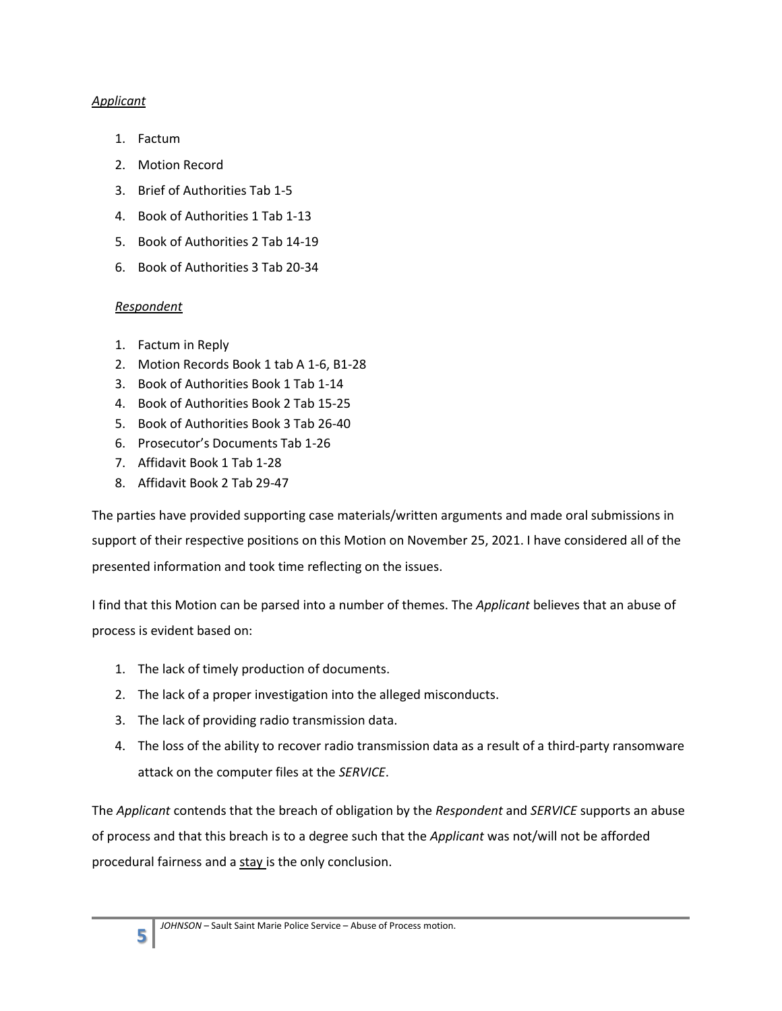# *Applicant*

- 1. Factum
- 2. Motion Record
- 3. Brief of Authorities Tab 1-5
- 4. Book of Authorities 1 Tab 1-13
- 5. Book of Authorities 2 Tab 14-19
- 6. Book of Authorities 3 Tab 20-34

# *Respondent*

- 1. Factum in Reply
- 2. Motion Records Book 1 tab A 1-6, B1-28
- 3. Book of Authorities Book 1 Tab 1-14
- 4. Book of Authorities Book 2 Tab 15-25
- 5. Book of Authorities Book 3 Tab 26-40
- 6. Prosecutor's Documents Tab 1-26
- 7. Affidavit Book 1 Tab 1-28
- 8. Affidavit Book 2 Tab 29-47

The parties have provided supporting case materials/written arguments and made oral submissions in support of their respective positions on this Motion on November 25, 2021. I have considered all of the presented information and took time reflecting on the issues.

I find that this Motion can be parsed into a number of themes. The *Applicant* believes that an abuse of process is evident based on:

- 1. The lack of timely production of documents.
- 2. The lack of a proper investigation into the alleged misconducts.
- 3. The lack of providing radio transmission data.
- 4. The loss of the ability to recover radio transmission data as a result of a third-party ransomware attack on the computer files at the *SERVICE*.

The *Applicant* contends that the breach of obligation by the *Respondent* and *SERVICE* supports an abuse of process and that this breach is to a degree such that the *Applicant* was not/will not be afforded procedural fairness and a stay is the only conclusion.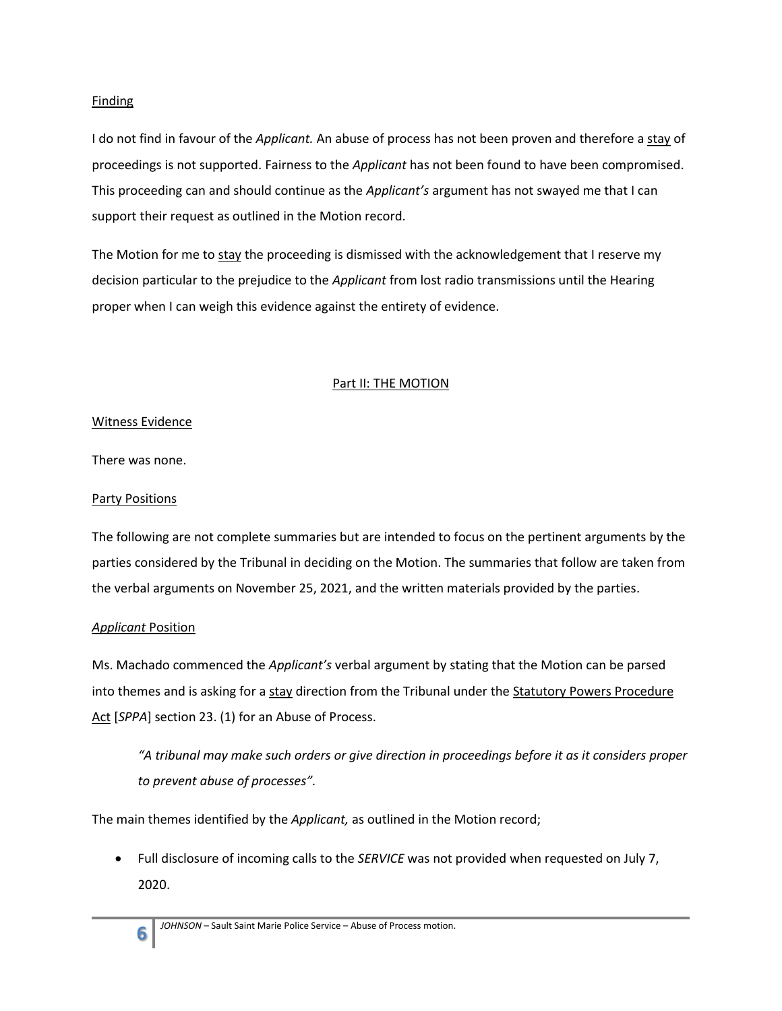## **Finding**

I do not find in favour of the *Applicant.* An abuse of process has not been proven and therefore a stay of proceedings is not supported. Fairness to the *Applicant* has not been found to have been compromised. This proceeding can and should continue as the *Applicant's* argument has not swayed me that I can support their request as outlined in the Motion record.

The Motion for me to stay the proceeding is dismissed with the acknowledgement that I reserve my decision particular to the prejudice to the *Applicant* from lost radio transmissions until the Hearing proper when I can weigh this evidence against the entirety of evidence.

# **Part II: THE MOTION**

# Witness Evidence

There was none.

## Party Positions

The following are not complete summaries but are intended to focus on the pertinent arguments by the parties considered by the Tribunal in deciding on the Motion. The summaries that follow are taken from the verbal arguments on November 25, 2021, and the written materials provided by the parties.

# *Applicant* Position

Ms. Machado commenced the *Applicant's* verbal argument by stating that the Motion can be parsed into themes and is asking for a stay direction from the Tribunal under the Statutory Powers Procedure Act [*SPPA*] section 23. (1) for an Abuse of Process.

*"A tribunal may make such orders or give direction in proceedings before it as it considers proper to prevent abuse of processes".*

The main themes identified by the *Applicant,* as outlined in the Motion record;

 Full disclosure of incoming calls to the *SERVICE* was not provided when requested on July 7, 2020.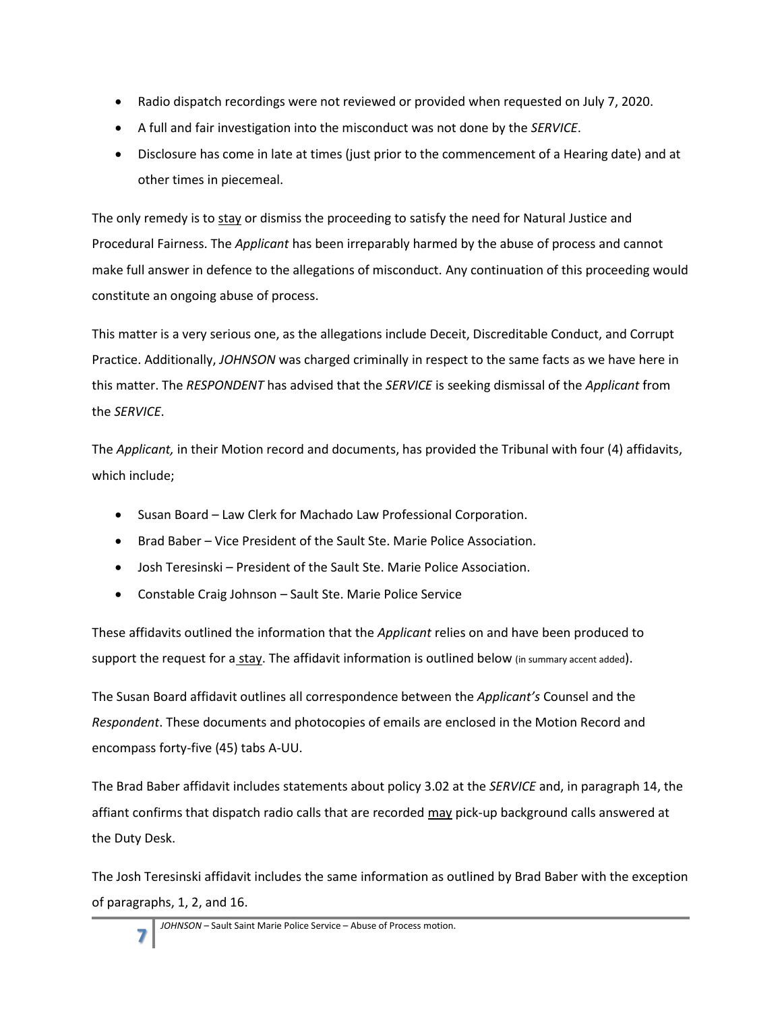- Radio dispatch recordings were not reviewed or provided when requested on July 7, 2020.
- A full and fair investigation into the misconduct was not done by the *SERVICE*.
- Disclosure has come in late at times (just prior to the commencement of a Hearing date) and at other times in piecemeal.

The only remedy is to stay or dismiss the proceeding to satisfy the need for Natural Justice and Procedural Fairness. The *Applicant* has been irreparably harmed by the abuse of process and cannot make full answer in defence to the allegations of misconduct. Any continuation of this proceeding would constitute an ongoing abuse of process.

This matter is a very serious one, as the allegations include Deceit, Discreditable Conduct, and Corrupt Practice. Additionally, *JOHNSON* was charged criminally in respect to the same facts as we have here in this matter. The *RESPONDENT* has advised that the *SERVICE* is seeking dismissal of the *Applicant* from the *SERVICE*.

The *Applicant,* in their Motion record and documents, has provided the Tribunal with four (4) affidavits, which include;

- Susan Board Law Clerk for Machado Law Professional Corporation.
- Brad Baber Vice President of the Sault Ste. Marie Police Association.
- Josh Teresinski President of the Sault Ste. Marie Police Association.
- Constable Craig Johnson Sault Ste. Marie Police Service

These affidavits outlined the information that the *Applicant* relies on and have been produced to support the request for a stay. The affidavit information is outlined below (in summary accent added).

The Susan Board affidavit outlines all correspondence between the *Applicant's* Counsel and the *Respondent*. These documents and photocopies of emails are enclosed in the Motion Record and encompass forty-five (45) tabs A-UU.

The Brad Baber affidavit includes statements about policy 3.02 at the *SERVICE* and, in paragraph 14, the affiant confirms that dispatch radio calls that are recorded may pick-up background calls answered at the Duty Desk.

The Josh Teresinski affidavit includes the same information as outlined by Brad Baber with the exception of paragraphs, 1, 2, and 16.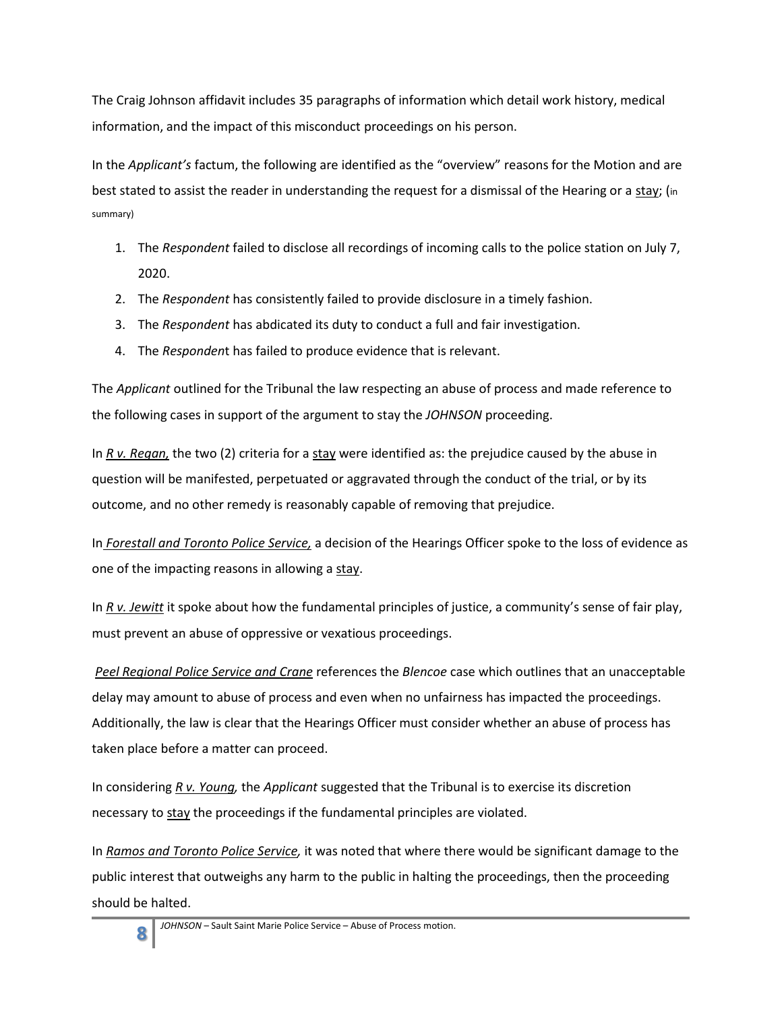The Craig Johnson affidavit includes 35 paragraphs of information which detail work history, medical information, and the impact of this misconduct proceedings on his person.

In the *Applicant's* factum, the following are identified as the "overview" reasons for the Motion and are best stated to assist the reader in understanding the request for a dismissal of the Hearing or a stay; (in summary)

- 1. The *Respondent* failed to disclose all recordings of incoming calls to the police station on July 7, 2020.
- 2. The *Respondent* has consistently failed to provide disclosure in a timely fashion.
- 3. The *Respondent* has abdicated its duty to conduct a full and fair investigation.
- 4. The *Responden*t has failed to produce evidence that is relevant.

The *Applicant* outlined for the Tribunal the law respecting an abuse of process and made reference to the following cases in support of the argument to stay the *JOHNSON* proceeding.

In *R v. Regan*, the two (2) criteria for a stay were identified as: the prejudice caused by the abuse in question will be manifested, perpetuated or aggravated through the conduct of the trial, or by its outcome, and no other remedy is reasonably capable of removing that prejudice.

In *Forestall and Toronto Police Service,* a decision of the Hearings Officer spoke to the loss of evidence as one of the impacting reasons in allowing a stay.

In *R v. Jewitt* it spoke about how the fundamental principles of justice, a community's sense of fair play, must prevent an abuse of oppressive or vexatious proceedings.

*Peel Regional Police Service and Crane* references the *Blencoe* case which outlines that an unacceptable delay may amount to abuse of process and even when no unfairness has impacted the proceedings. Additionally, the law is clear that the Hearings Officer must consider whether an abuse of process has taken place before a matter can proceed.

In considering *R v. Young,* the *Applicant* suggested that the Tribunal is to exercise its discretion necessary to stay the proceedings if the fundamental principles are violated.

In *Ramos and Toronto Police Service,* it was noted that where there would be significant damage to the public interest that outweighs any harm to the public in halting the proceedings, then the proceeding should be halted.

**8**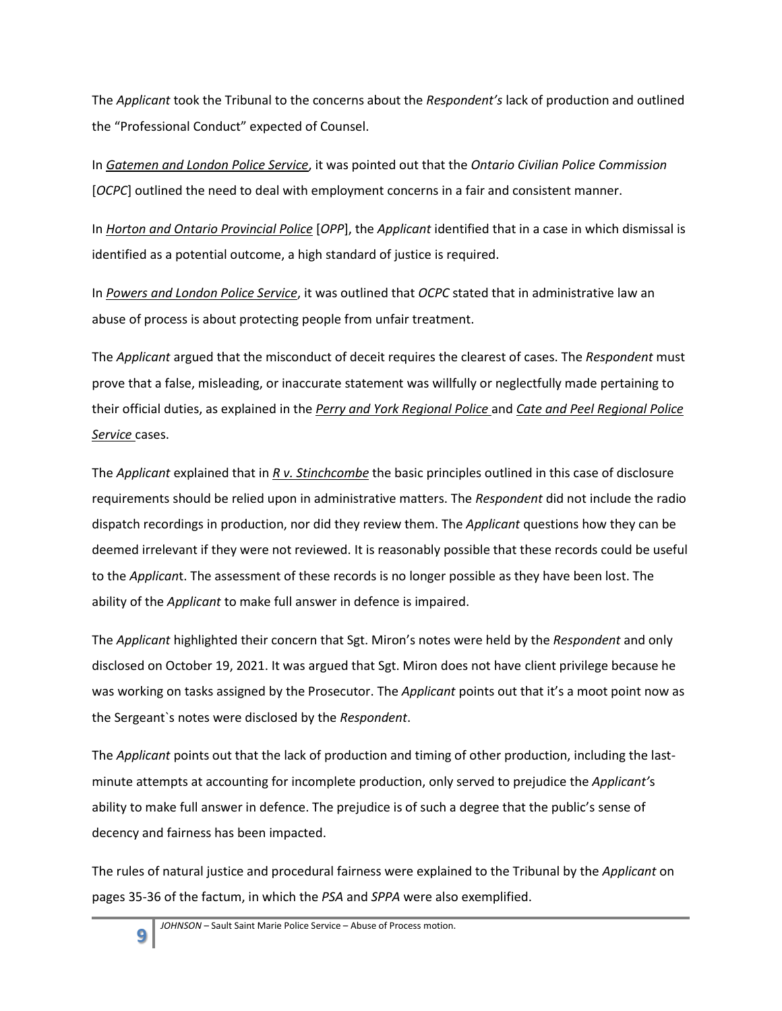The *Applicant* took the Tribunal to the concerns about the *Respondent's* lack of production and outlined the "Professional Conduct" expected of Counsel.

In *Gatemen and London Police Service*, it was pointed out that the *Ontario Civilian Police Commission* [*OCPC*] outlined the need to deal with employment concerns in a fair and consistent manner.

In *Horton and Ontario Provincial Police* [*OPP*], the *Applicant* identified that in a case in which dismissal is identified as a potential outcome, a high standard of justice is required.

In *Powers and London Police Service*, it was outlined that *OCPC* stated that in administrative law an abuse of process is about protecting people from unfair treatment.

The *Applicant* argued that the misconduct of deceit requires the clearest of cases. The *Respondent* must prove that a false, misleading, or inaccurate statement was willfully or neglectfully made pertaining to their official duties, as explained in the *Perry and York Regional Police* and *Cate and Peel Regional Police Service* cases.

The *Applicant* explained that in *R v. Stinchcombe* the basic principles outlined in this case of disclosure requirements should be relied upon in administrative matters. The *Respondent* did not include the radio dispatch recordings in production, nor did they review them. The *Applicant* questions how they can be deemed irrelevant if they were not reviewed. It is reasonably possible that these records could be useful to the *Applican*t. The assessment of these records is no longer possible as they have been lost. The ability of the *Applicant* to make full answer in defence is impaired.

The *Applicant* highlighted their concern that Sgt. Miron's notes were held by the *Respondent* and only disclosed on October 19, 2021. It was argued that Sgt. Miron does not have client privilege because he was working on tasks assigned by the Prosecutor. The *Applicant* points out that it's a moot point now as the Sergeant`s notes were disclosed by the *Respondent*.

The *Applicant* points out that the lack of production and timing of other production, including the lastminute attempts at accounting for incomplete production, only served to prejudice the *Applicant'*s ability to make full answer in defence. The prejudice is of such a degree that the public's sense of decency and fairness has been impacted.

The rules of natural justice and procedural fairness were explained to the Tribunal by the *Applicant* on pages 35-36 of the factum, in which the *PSA* and *SPPA* were also exemplified.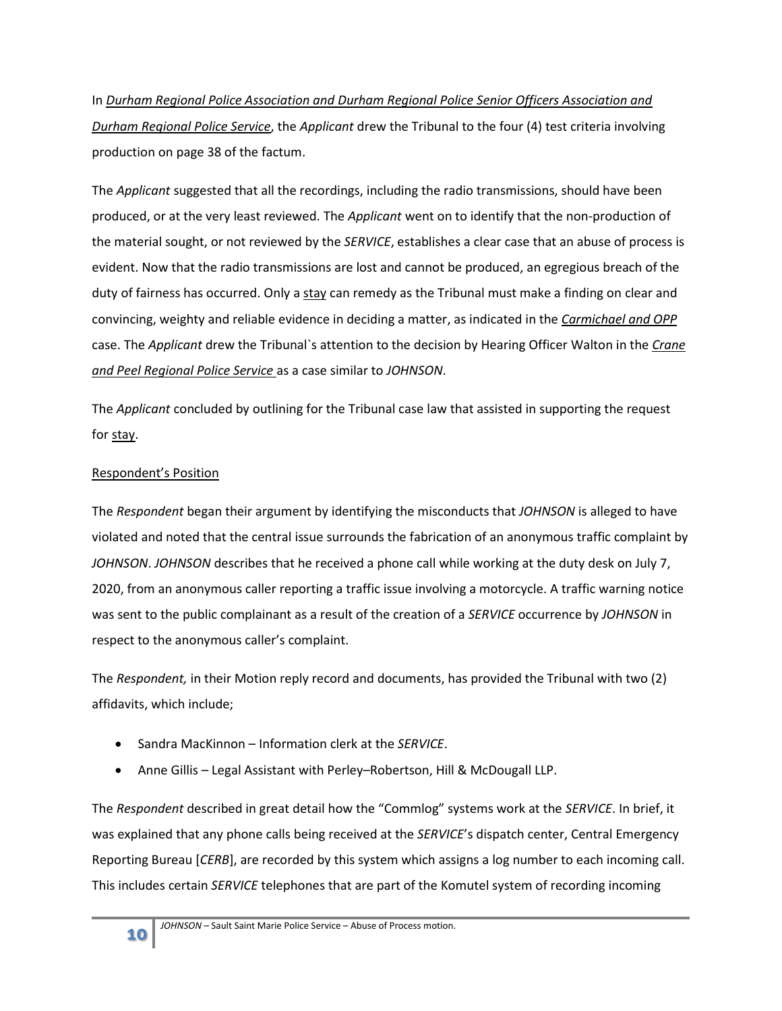In *Durham Regional Police Association and Durham Regional Police Senior Officers Association and Durham Regional Police Service*, the *Applicant* drew the Tribunal to the four (4) test criteria involving production on page 38 of the factum.

The *Applicant* suggested that all the recordings, including the radio transmissions, should have been produced, or at the very least reviewed. The *Applicant* went on to identify that the non-production of the material sought, or not reviewed by the *SERVICE*, establishes a clear case that an abuse of process is evident. Now that the radio transmissions are lost and cannot be produced, an egregious breach of the duty of fairness has occurred. Only a stay can remedy as the Tribunal must make a finding on clear and convincing, weighty and reliable evidence in deciding a matter, as indicated in the *Carmichael and OPP*  case. The *Applicant* drew the Tribunal`s attention to the decision by Hearing Officer Walton in the *Crane and Peel Regional Police Service* as a case similar to *JOHNSON*.

The *Applicant* concluded by outlining for the Tribunal case law that assisted in supporting the request for stay.

# Respondent's Position

The *Respondent* began their argument by identifying the misconducts that *JOHNSON* is alleged to have violated and noted that the central issue surrounds the fabrication of an anonymous traffic complaint by *JOHNSON*. *JOHNSON* describes that he received a phone call while working at the duty desk on July 7, 2020, from an anonymous caller reporting a traffic issue involving a motorcycle. A traffic warning notice was sent to the public complainant as a result of the creation of a *SERVICE* occurrence by *JOHNSON* in respect to the anonymous caller's complaint.

The *Respondent,* in their Motion reply record and documents, has provided the Tribunal with two (2) affidavits, which include;

- Sandra MacKinnon Information clerk at the *SERVICE*.
- Anne Gillis Legal Assistant with Perley–Robertson, Hill & McDougall LLP.

The *Respondent* described in great detail how the "Commlog" systems work at the *SERVICE*. In brief, it was explained that any phone calls being received at the *SERVICE*'s dispatch center, Central Emergency Reporting Bureau [*CERB*], are recorded by this system which assigns a log number to each incoming call. This includes certain *SERVICE* telephones that are part of the Komutel system of recording incoming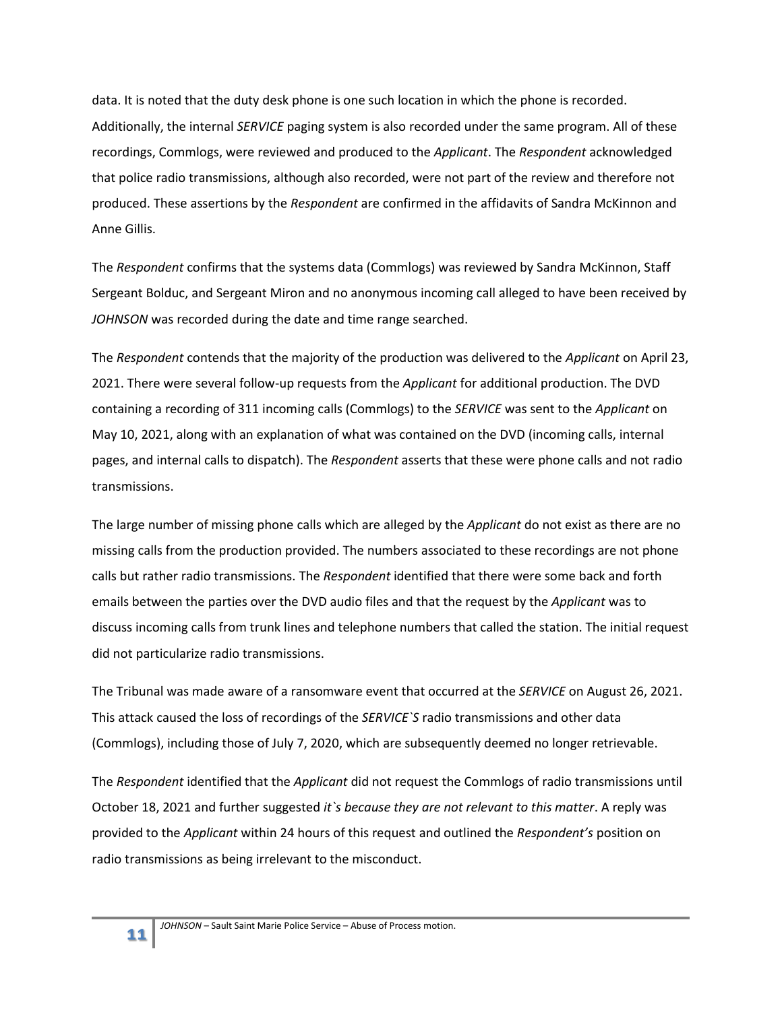data. It is noted that the duty desk phone is one such location in which the phone is recorded. Additionally, the internal *SERVICE* paging system is also recorded under the same program. All of these recordings, Commlogs, were reviewed and produced to the *Applicant*. The *Respondent* acknowledged that police radio transmissions, although also recorded, were not part of the review and therefore not produced. These assertions by the *Respondent* are confirmed in the affidavits of Sandra McKinnon and Anne Gillis.

The *Respondent* confirms that the systems data (Commlogs) was reviewed by Sandra McKinnon, Staff Sergeant Bolduc, and Sergeant Miron and no anonymous incoming call alleged to have been received by *JOHNSON* was recorded during the date and time range searched.

The *Respondent* contends that the majority of the production was delivered to the *Applicant* on April 23, 2021. There were several follow-up requests from the *Applicant* for additional production. The DVD containing a recording of 311 incoming calls (Commlogs) to the *SERVICE* was sent to the *Applicant* on May 10, 2021, along with an explanation of what was contained on the DVD (incoming calls, internal pages, and internal calls to dispatch). The *Respondent* asserts that these were phone calls and not radio transmissions.

The large number of missing phone calls which are alleged by the *Applicant* do not exist as there are no missing calls from the production provided. The numbers associated to these recordings are not phone calls but rather radio transmissions. The *Respondent* identified that there were some back and forth emails between the parties over the DVD audio files and that the request by the *Applicant* was to discuss incoming calls from trunk lines and telephone numbers that called the station. The initial request did not particularize radio transmissions.

The Tribunal was made aware of a ransomware event that occurred at the *SERVICE* on August 26, 2021. This attack caused the loss of recordings of the *SERVICE`S* radio transmissions and other data (Commlogs), including those of July 7, 2020, which are subsequently deemed no longer retrievable.

The *Respondent* identified that the *Applicant* did not request the Commlogs of radio transmissions until October 18, 2021 and further suggested *it`s because they are not relevant to this matter*. A reply was provided to the *Applicant* within 24 hours of this request and outlined the *Respondent's* position on radio transmissions as being irrelevant to the misconduct.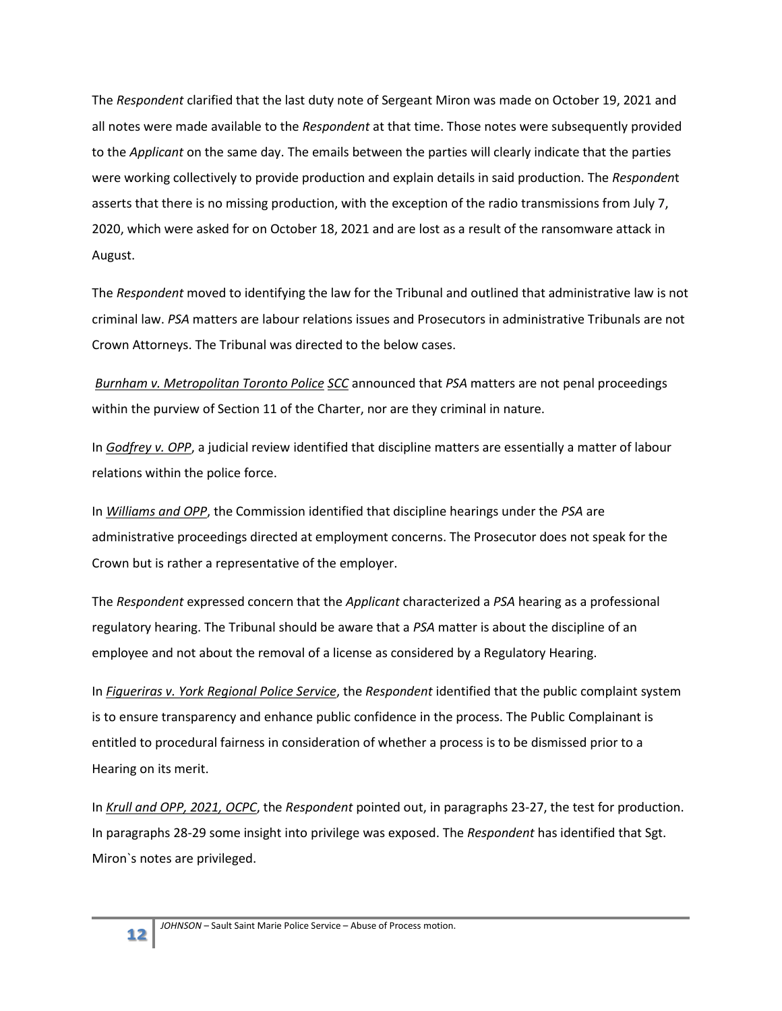The *Respondent* clarified that the last duty note of Sergeant Miron was made on October 19, 2021 and all notes were made available to the *Respondent* at that time. Those notes were subsequently provided to the *Applicant* on the same day. The emails between the parties will clearly indicate that the parties were working collectively to provide production and explain details in said production. The *Responden*t asserts that there is no missing production, with the exception of the radio transmissions from July 7, 2020, which were asked for on October 18, 2021 and are lost as a result of the ransomware attack in August.

The *Respondent* moved to identifying the law for the Tribunal and outlined that administrative law is not criminal law. *PSA* matters are labour relations issues and Prosecutors in administrative Tribunals are not Crown Attorneys. The Tribunal was directed to the below cases.

*Burnham v. Metropolitan Toronto Police SCC* announced that *PSA* matters are not penal proceedings within the purview of Section 11 of the Charter, nor are they criminal in nature.

In *Godfrey v. OPP*, a judicial review identified that discipline matters are essentially a matter of labour relations within the police force.

In *Williams and OPP*, the Commission identified that discipline hearings under the *PSA* are administrative proceedings directed at employment concerns. The Prosecutor does not speak for the Crown but is rather a representative of the employer.

The *Respondent* expressed concern that the *Applicant* characterized a *PSA* hearing as a professional regulatory hearing. The Tribunal should be aware that a *PSA* matter is about the discipline of an employee and not about the removal of a license as considered by a Regulatory Hearing.

In *Figueriras v. York Regional Police Service*, the *Respondent* identified that the public complaint system is to ensure transparency and enhance public confidence in the process. The Public Complainant is entitled to procedural fairness in consideration of whether a process is to be dismissed prior to a Hearing on its merit.

In *Krull and OPP, 2021, OCPC*, the *Respondent* pointed out, in paragraphs 23-27, the test for production. In paragraphs 28-29 some insight into privilege was exposed. The *Respondent* has identified that Sgt. Miron`s notes are privileged.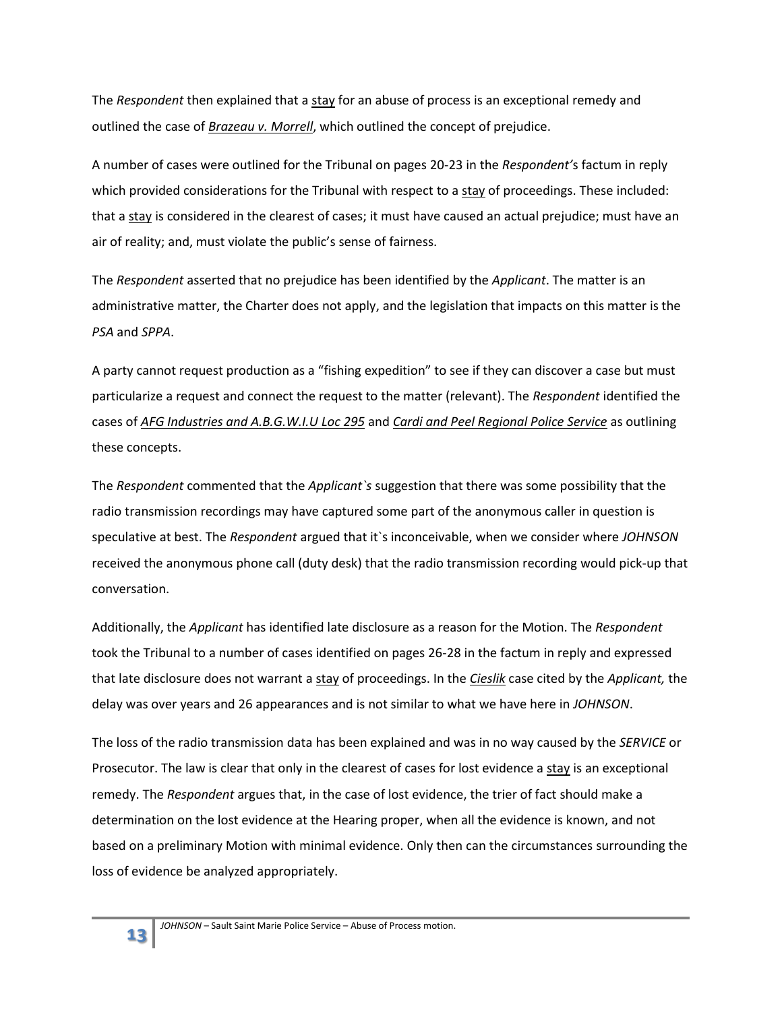The *Respondent* then explained that a stay for an abuse of process is an exceptional remedy and outlined the case of *Brazeau v. Morrell*, which outlined the concept of prejudice.

A number of cases were outlined for the Tribunal on pages 20-23 in the *Respondent'*s factum in reply which provided considerations for the Tribunal with respect to a stay of proceedings. These included: that a  $\frac{\text{stay}}{\text{is}}$  is considered in the clearest of cases; it must have caused an actual prejudice; must have an air of reality; and, must violate the public's sense of fairness.

The *Respondent* asserted that no prejudice has been identified by the *Applicant*. The matter is an administrative matter, the Charter does not apply, and the legislation that impacts on this matter is the *PSA* and *SPPA*.

A party cannot request production as a "fishing expedition" to see if they can discover a case but must particularize a request and connect the request to the matter (relevant). The *Respondent* identified the cases of *AFG Industries and A.B.G.W.I.U Loc 295* and *Cardi and Peel Regional Police Service* as outlining these concepts.

The *Respondent* commented that the *Applicant`s* suggestion that there was some possibility that the radio transmission recordings may have captured some part of the anonymous caller in question is speculative at best. The *Respondent* argued that it`s inconceivable, when we consider where *JOHNSON* received the anonymous phone call (duty desk) that the radio transmission recording would pick-up that conversation.

Additionally, the *Applicant* has identified late disclosure as a reason for the Motion. The *Respondent* took the Tribunal to a number of cases identified on pages 26-28 in the factum in reply and expressed that late disclosure does not warrant a stay of proceedings. In the *Cieslik* case cited by the *Applicant,* the delay was over years and 26 appearances and is not similar to what we have here in *JOHNSON*.

The loss of the radio transmission data has been explained and was in no way caused by the *SERVICE* or Prosecutor. The law is clear that only in the clearest of cases for lost evidence a stay is an exceptional remedy. The *Respondent* argues that, in the case of lost evidence, the trier of fact should make a determination on the lost evidence at the Hearing proper, when all the evidence is known, and not based on a preliminary Motion with minimal evidence. Only then can the circumstances surrounding the loss of evidence be analyzed appropriately.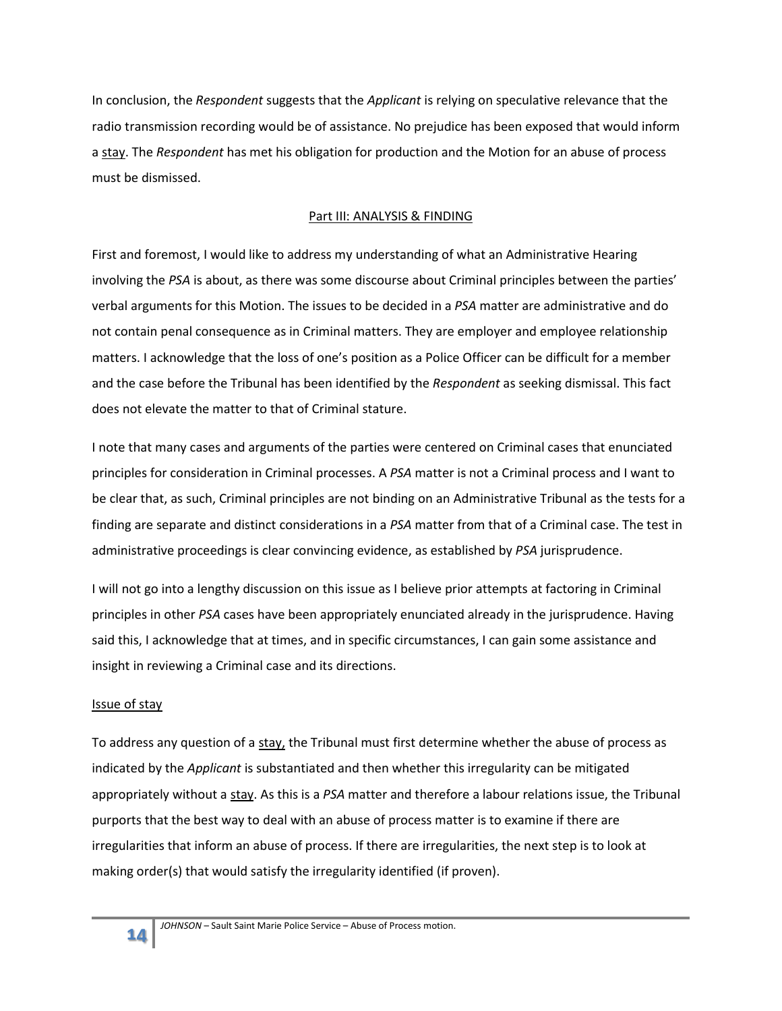In conclusion, the *Respondent* suggests that the *Applicant* is relying on speculative relevance that the radio transmission recording would be of assistance. No prejudice has been exposed that would inform a stay. The *Respondent* has met his obligation for production and the Motion for an abuse of process must be dismissed.

# Part III: ANALYSIS & FINDING

First and foremost, I would like to address my understanding of what an Administrative Hearing involving the *PSA* is about, as there was some discourse about Criminal principles between the parties' verbal arguments for this Motion. The issues to be decided in a *PSA* matter are administrative and do not contain penal consequence as in Criminal matters. They are employer and employee relationship matters. I acknowledge that the loss of one's position as a Police Officer can be difficult for a member and the case before the Tribunal has been identified by the *Respondent* as seeking dismissal. This fact does not elevate the matter to that of Criminal stature.

I note that many cases and arguments of the parties were centered on Criminal cases that enunciated principles for consideration in Criminal processes. A *PSA* matter is not a Criminal process and I want to be clear that, as such, Criminal principles are not binding on an Administrative Tribunal as the tests for a finding are separate and distinct considerations in a *PSA* matter from that of a Criminal case. The test in administrative proceedings is clear convincing evidence, as established by *PSA* jurisprudence.

I will not go into a lengthy discussion on this issue as I believe prior attempts at factoring in Criminal principles in other *PSA* cases have been appropriately enunciated already in the jurisprudence. Having said this, I acknowledge that at times, and in specific circumstances, I can gain some assistance and insight in reviewing a Criminal case and its directions.

# Issue of stay

To address any question of a stay, the Tribunal must first determine whether the abuse of process as indicated by the *Applicant* is substantiated and then whether this irregularity can be mitigated appropriately without a stay. As this is a *PSA* matter and therefore a labour relations issue, the Tribunal purports that the best way to deal with an abuse of process matter is to examine if there are irregularities that inform an abuse of process. If there are irregularities, the next step is to look at making order(s) that would satisfy the irregularity identified (if proven).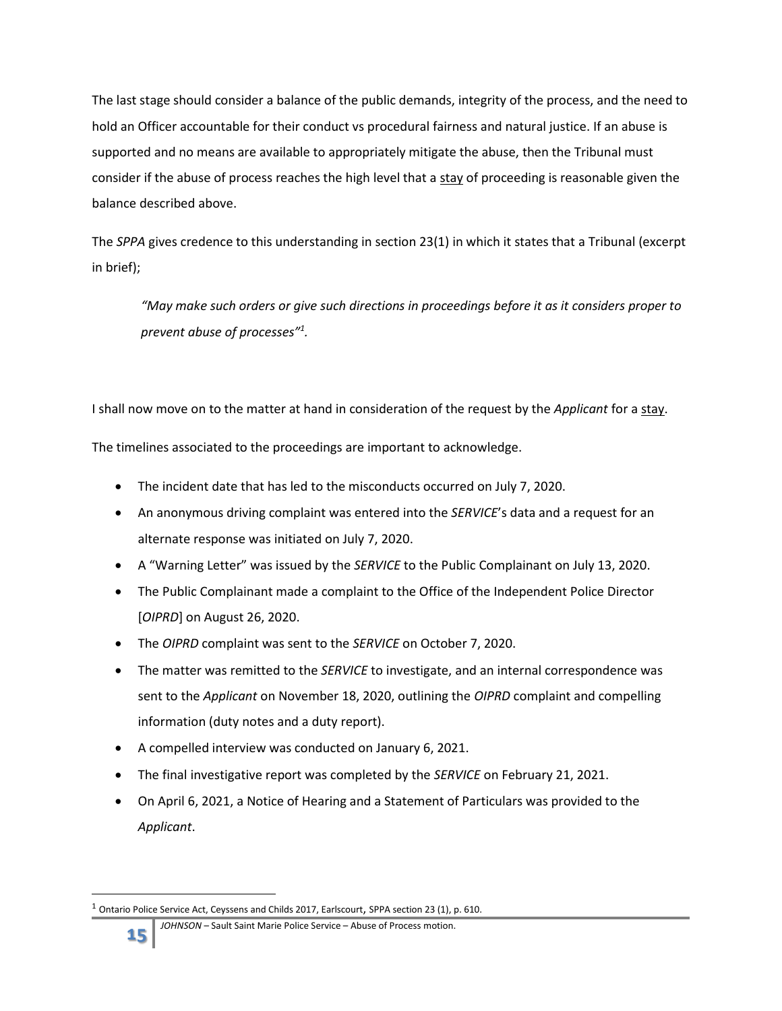The last stage should consider a balance of the public demands, integrity of the process, and the need to hold an Officer accountable for their conduct vs procedural fairness and natural justice. If an abuse is supported and no means are available to appropriately mitigate the abuse, then the Tribunal must consider if the abuse of process reaches the high level that a stay of proceeding is reasonable given the balance described above.

The *SPPA* gives credence to this understanding in section 23(1) in which it states that a Tribunal (excerpt in brief);

*"May make such orders or give such directions in proceedings before it as it considers proper to prevent abuse of processes"<sup>1</sup> .*

I shall now move on to the matter at hand in consideration of the request by the *Applicant* for a stay.

The timelines associated to the proceedings are important to acknowledge.

- The incident date that has led to the misconducts occurred on July 7, 2020.
- An anonymous driving complaint was entered into the *SERVICE*'s data and a request for an alternate response was initiated on July 7, 2020.
- A "Warning Letter" was issued by the *SERVICE* to the Public Complainant on July 13, 2020.
- The Public Complainant made a complaint to the Office of the Independent Police Director [*OIPRD*] on August 26, 2020.
- The *OIPRD* complaint was sent to the *SERVICE* on October 7, 2020.
- The matter was remitted to the *SERVICE* to investigate, and an internal correspondence was sent to the *Applicant* on November 18, 2020, outlining the *OIPRD* complaint and compelling information (duty notes and a duty report).
- A compelled interview was conducted on January 6, 2021.
- The final investigative report was completed by the *SERVICE* on February 21, 2021.
- On April 6, 2021, a Notice of Hearing and a Statement of Particulars was provided to the *Applicant*.

 $^1$  Ontario Police Service Act, Ceyssens and Childs 2017, Earlscourt, SPPA section 23 (1), p. 610.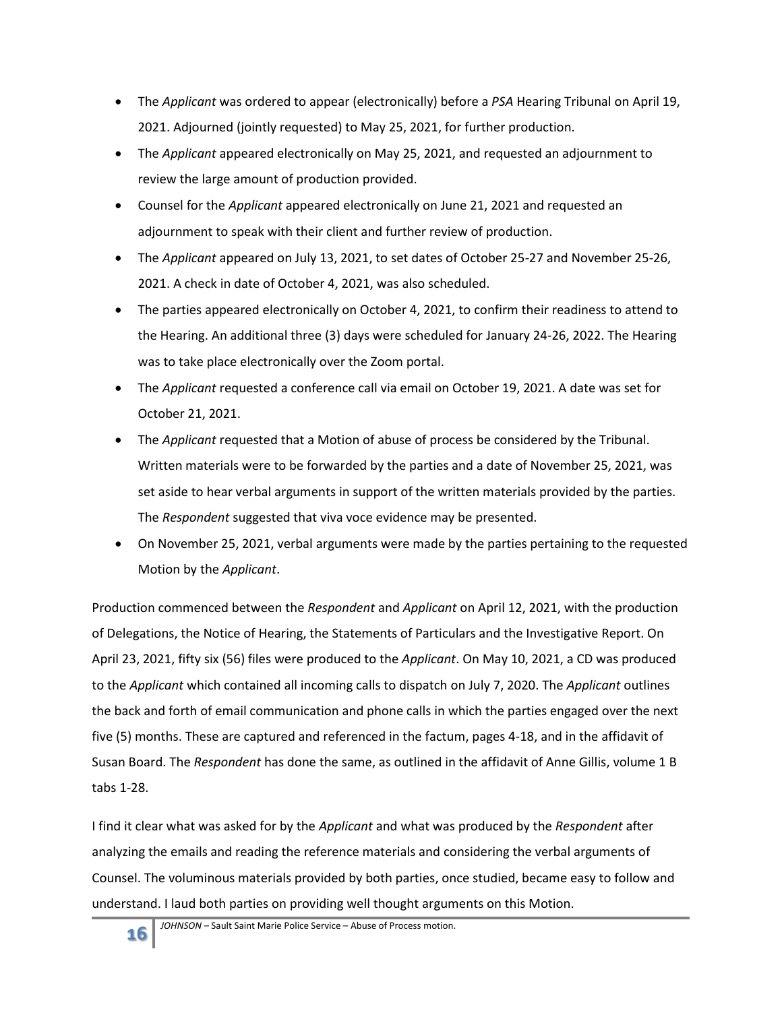- The *Applicant* was ordered to appear (electronically) before a *PSA* Hearing Tribunal on April 19, 2021. Adjourned (jointly requested) to May 25, 2021, for further production.
- The *Applicant* appeared electronically on May 25, 2021, and requested an adjournment to review the large amount of production provided.
- Counsel for the *Applicant* appeared electronically on June 21, 2021 and requested an adjournment to speak with their client and further review of production.
- The *Applicant* appeared on July 13, 2021, to set dates of October 25-27 and November 25-26, 2021. A check in date of October 4, 2021, was also scheduled.
- The parties appeared electronically on October 4, 2021, to confirm their readiness to attend to the Hearing. An additional three (3) days were scheduled for January 24-26, 2022. The Hearing was to take place electronically over the Zoom portal.
- The *Applicant* requested a conference call via email on October 19, 2021. A date was set for October 21, 2021.
- The *Applicant* requested that a Motion of abuse of process be considered by the Tribunal. Written materials were to be forwarded by the parties and a date of November 25, 2021, was set aside to hear verbal arguments in support of the written materials provided by the parties. The *Respondent* suggested that viva voce evidence may be presented.
- On November 25, 2021, verbal arguments were made by the parties pertaining to the requested Motion by the *Applicant*.

Production commenced between the *Respondent* and *Applicant* on April 12, 2021, with the production of Delegations, the Notice of Hearing, the Statements of Particulars and the Investigative Report. On April 23, 2021, fifty six (56) files were produced to the *Applicant*. On May 10, 2021, a CD was produced to the *Applicant* which contained all incoming calls to dispatch on July 7, 2020. The *Applicant* outlines the back and forth of email communication and phone calls in which the parties engaged over the next five (5) months. These are captured and referenced in the factum, pages 4-18, and in the affidavit of Susan Board. The *Respondent* has done the same, as outlined in the affidavit of Anne Gillis, volume 1 B tabs 1-28.

I find it clear what was asked for by the *Applicant* and what was produced by the *Respondent* after analyzing the emails and reading the reference materials and considering the verbal arguments of Counsel. The voluminous materials provided by both parties, once studied, became easy to follow and understand. I laud both parties on providing well thought arguments on this Motion.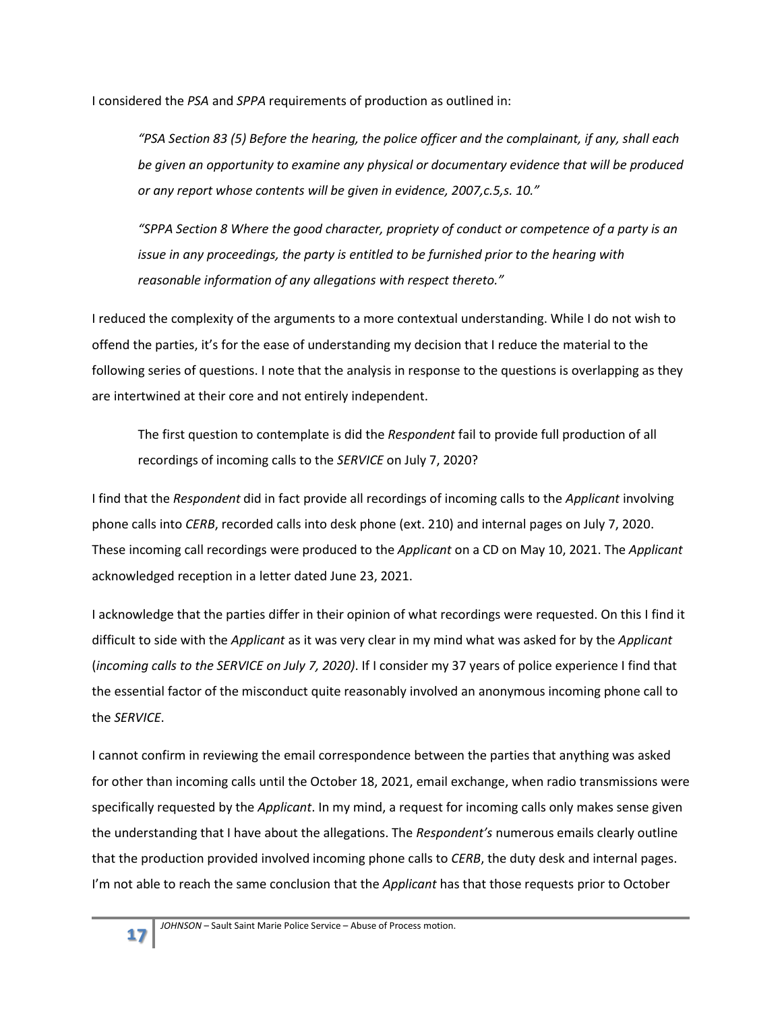I considered the *PSA* and *SPPA* requirements of production as outlined in:

*"PSA Section 83 (5) Before the hearing, the police officer and the complainant, if any, shall each be given an opportunity to examine any physical or documentary evidence that will be produced or any report whose contents will be given in evidence, 2007,c.5,s. 10."*

*"SPPA Section 8 Where the good character, propriety of conduct or competence of a party is an issue in any proceedings, the party is entitled to be furnished prior to the hearing with reasonable information of any allegations with respect thereto."*

I reduced the complexity of the arguments to a more contextual understanding. While I do not wish to offend the parties, it's for the ease of understanding my decision that I reduce the material to the following series of questions. I note that the analysis in response to the questions is overlapping as they are intertwined at their core and not entirely independent.

The first question to contemplate is did the *Respondent* fail to provide full production of all recordings of incoming calls to the *SERVICE* on July 7, 2020?

I find that the *Respondent* did in fact provide all recordings of incoming calls to the *Applicant* involving phone calls into *CERB*, recorded calls into desk phone (ext. 210) and internal pages on July 7, 2020. These incoming call recordings were produced to the *Applicant* on a CD on May 10, 2021. The *Applicant* acknowledged reception in a letter dated June 23, 2021.

I acknowledge that the parties differ in their opinion of what recordings were requested. On this I find it difficult to side with the *Applicant* as it was very clear in my mind what was asked for by the *Applicant* (*incoming calls to the SERVICE on July 7, 2020)*. If I consider my 37 years of police experience I find that the essential factor of the misconduct quite reasonably involved an anonymous incoming phone call to the *SERVICE*.

I cannot confirm in reviewing the email correspondence between the parties that anything was asked for other than incoming calls until the October 18, 2021, email exchange, when radio transmissions were specifically requested by the *Applicant*. In my mind, a request for incoming calls only makes sense given the understanding that I have about the allegations. The *Respondent's* numerous emails clearly outline that the production provided involved incoming phone calls to *CERB*, the duty desk and internal pages. I'm not able to reach the same conclusion that the *Applicant* has that those requests prior to October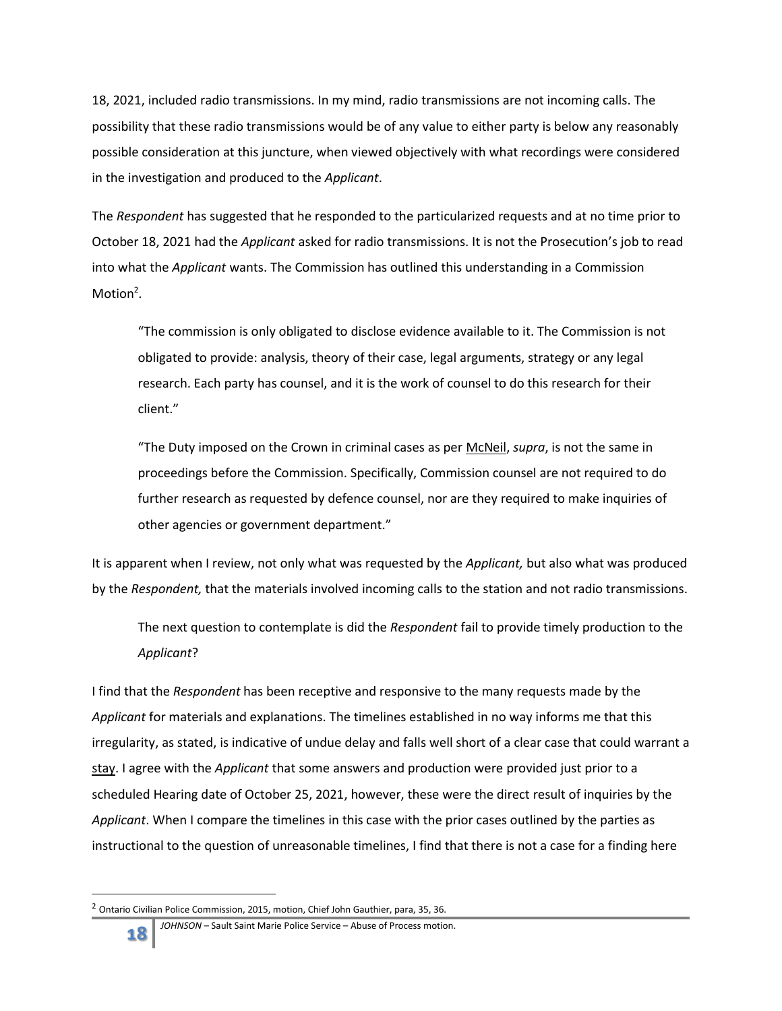18, 2021, included radio transmissions. In my mind, radio transmissions are not incoming calls. The possibility that these radio transmissions would be of any value to either party is below any reasonably possible consideration at this juncture, when viewed objectively with what recordings were considered in the investigation and produced to the *Applicant*.

The *Respondent* has suggested that he responded to the particularized requests and at no time prior to October 18, 2021 had the *Applicant* asked for radio transmissions. It is not the Prosecution's job to read into what the *Applicant* wants. The Commission has outlined this understanding in a Commission Motion<sup>2</sup>.

"The commission is only obligated to disclose evidence available to it. The Commission is not obligated to provide: analysis, theory of their case, legal arguments, strategy or any legal research. Each party has counsel, and it is the work of counsel to do this research for their client."

"The Duty imposed on the Crown in criminal cases as per McNeil, *supra*, is not the same in proceedings before the Commission. Specifically, Commission counsel are not required to do further research as requested by defence counsel, nor are they required to make inquiries of other agencies or government department."

It is apparent when I review, not only what was requested by the *Applicant,* but also what was produced by the *Respondent,* that the materials involved incoming calls to the station and not radio transmissions.

The next question to contemplate is did the *Respondent* fail to provide timely production to the *Applicant*?

I find that the *Respondent* has been receptive and responsive to the many requests made by the *Applicant* for materials and explanations. The timelines established in no way informs me that this irregularity, as stated, is indicative of undue delay and falls well short of a clear case that could warrant a stay. I agree with the *Applicant* that some answers and production were provided just prior to a scheduled Hearing date of October 25, 2021, however, these were the direct result of inquiries by the *Applicant*. When I compare the timelines in this case with the prior cases outlined by the parties as instructional to the question of unreasonable timelines, I find that there is not a case for a finding here

 $^2$  Ontario Civilian Police Commission, 2015, motion, Chief John Gauthier, para, 35, 36.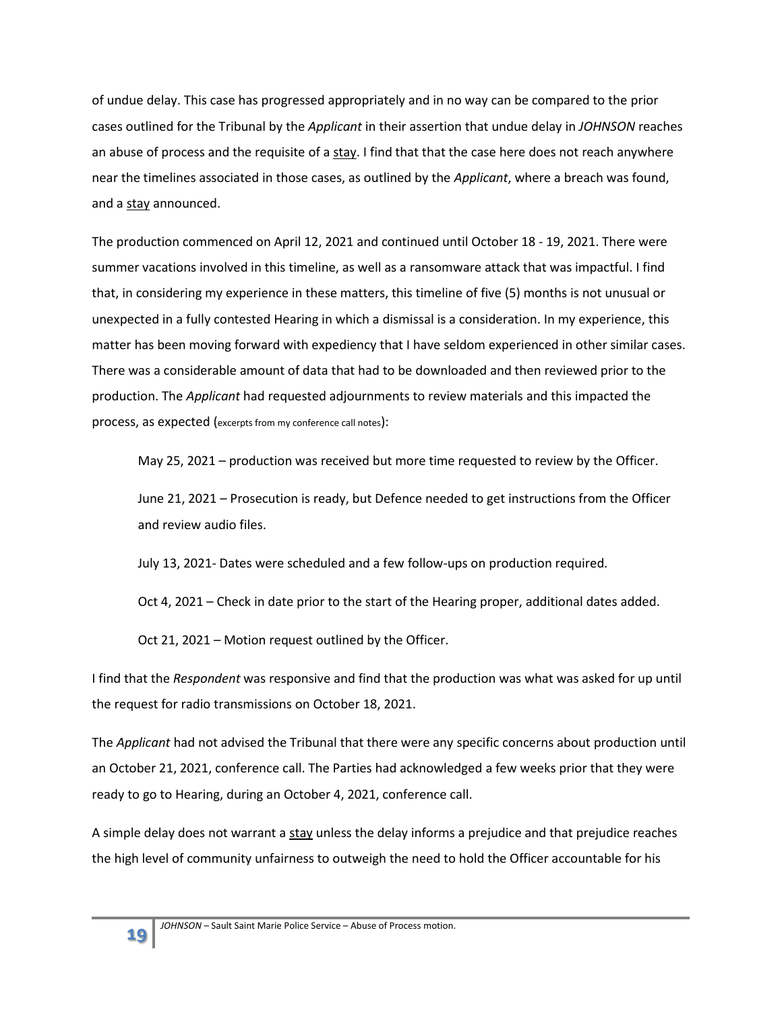of undue delay. This case has progressed appropriately and in no way can be compared to the prior cases outlined for the Tribunal by the *Applicant* in their assertion that undue delay in *JOHNSON* reaches an abuse of process and the requisite of a  $\frac{\text{stay}}{\text{day}}$ . I find that that the case here does not reach anywhere near the timelines associated in those cases, as outlined by the *Applicant*, where a breach was found, and a stay announced.

The production commenced on April 12, 2021 and continued until October 18 - 19, 2021. There were summer vacations involved in this timeline, as well as a ransomware attack that was impactful. I find that, in considering my experience in these matters, this timeline of five (5) months is not unusual or unexpected in a fully contested Hearing in which a dismissal is a consideration. In my experience, this matter has been moving forward with expediency that I have seldom experienced in other similar cases. There was a considerable amount of data that had to be downloaded and then reviewed prior to the production. The *Applicant* had requested adjournments to review materials and this impacted the process, as expected (excerpts from my conference call notes):

May 25, 2021 – production was received but more time requested to review by the Officer.

June 21, 2021 – Prosecution is ready, but Defence needed to get instructions from the Officer and review audio files.

July 13, 2021- Dates were scheduled and a few follow-ups on production required.

Oct 4, 2021 – Check in date prior to the start of the Hearing proper, additional dates added.

Oct 21, 2021 – Motion request outlined by the Officer.

I find that the *Respondent* was responsive and find that the production was what was asked for up until the request for radio transmissions on October 18, 2021.

The *Applicant* had not advised the Tribunal that there were any specific concerns about production until an October 21, 2021, conference call. The Parties had acknowledged a few weeks prior that they were ready to go to Hearing, during an October 4, 2021, conference call.

A simple delay does not warrant a stay unless the delay informs a prejudice and that prejudice reaches the high level of community unfairness to outweigh the need to hold the Officer accountable for his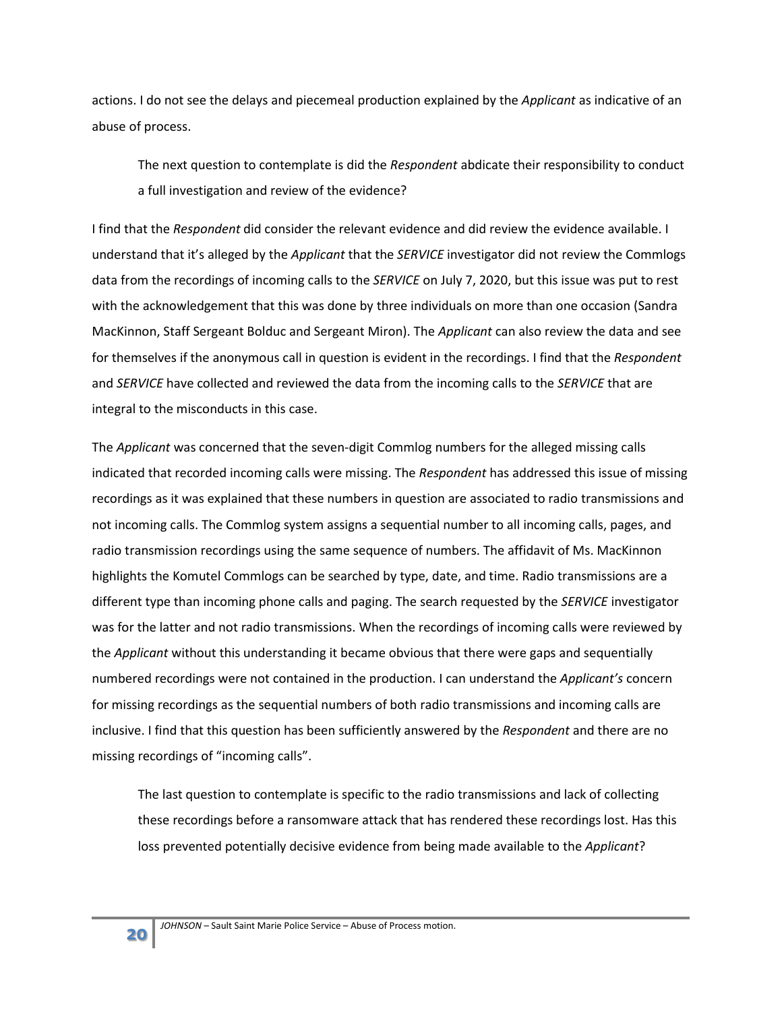actions. I do not see the delays and piecemeal production explained by the *Applicant* as indicative of an abuse of process.

The next question to contemplate is did the *Respondent* abdicate their responsibility to conduct a full investigation and review of the evidence?

I find that the *Respondent* did consider the relevant evidence and did review the evidence available. I understand that it's alleged by the *Applicant* that the *SERVICE* investigator did not review the Commlogs data from the recordings of incoming calls to the *SERVICE* on July 7, 2020, but this issue was put to rest with the acknowledgement that this was done by three individuals on more than one occasion (Sandra MacKinnon, Staff Sergeant Bolduc and Sergeant Miron). The *Applicant* can also review the data and see for themselves if the anonymous call in question is evident in the recordings. I find that the *Respondent* and *SERVICE* have collected and reviewed the data from the incoming calls to the *SERVICE* that are integral to the misconducts in this case.

The *Applicant* was concerned that the seven-digit Commlog numbers for the alleged missing calls indicated that recorded incoming calls were missing. The *Respondent* has addressed this issue of missing recordings as it was explained that these numbers in question are associated to radio transmissions and not incoming calls. The Commlog system assigns a sequential number to all incoming calls, pages, and radio transmission recordings using the same sequence of numbers. The affidavit of Ms. MacKinnon highlights the Komutel Commlogs can be searched by type, date, and time. Radio transmissions are a different type than incoming phone calls and paging. The search requested by the *SERVICE* investigator was for the latter and not radio transmissions. When the recordings of incoming calls were reviewed by the *Applicant* without this understanding it became obvious that there were gaps and sequentially numbered recordings were not contained in the production. I can understand the *Applicant's* concern for missing recordings as the sequential numbers of both radio transmissions and incoming calls are inclusive. I find that this question has been sufficiently answered by the *Respondent* and there are no missing recordings of "incoming calls".

The last question to contemplate is specific to the radio transmissions and lack of collecting these recordings before a ransomware attack that has rendered these recordings lost. Has this loss prevented potentially decisive evidence from being made available to the *Applicant*?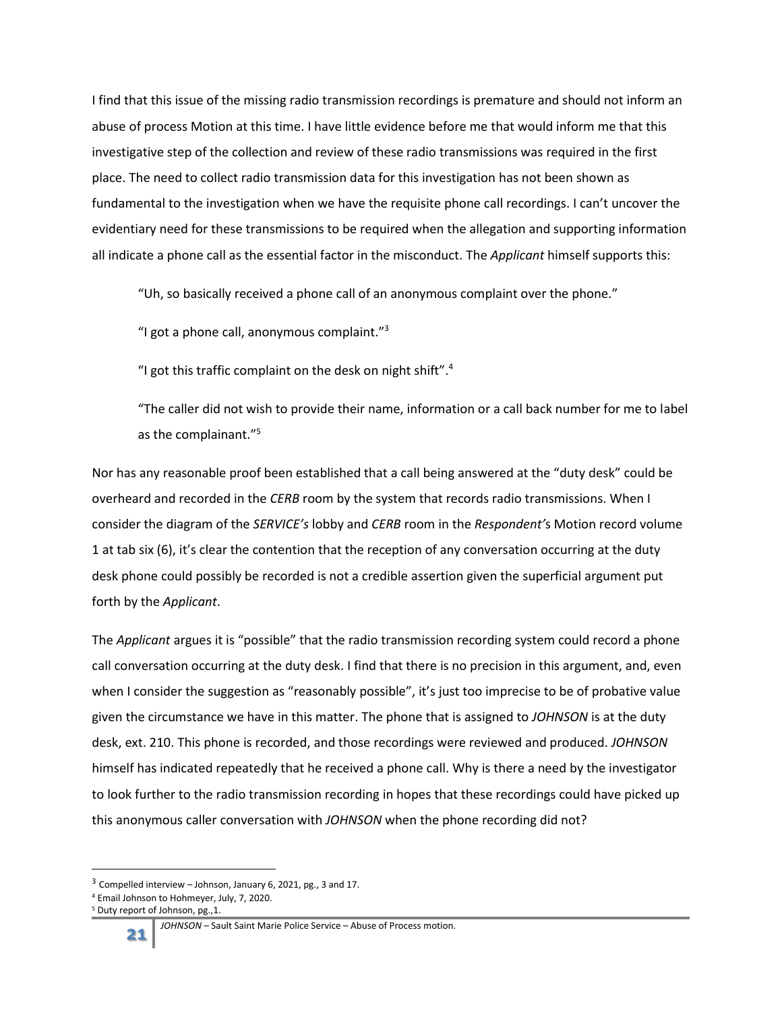I find that this issue of the missing radio transmission recordings is premature and should not inform an abuse of process Motion at this time. I have little evidence before me that would inform me that this investigative step of the collection and review of these radio transmissions was required in the first place. The need to collect radio transmission data for this investigation has not been shown as fundamental to the investigation when we have the requisite phone call recordings. I can't uncover the evidentiary need for these transmissions to be required when the allegation and supporting information all indicate a phone call as the essential factor in the misconduct. The *Applicant* himself supports this:

"Uh, so basically received a phone call of an anonymous complaint over the phone."

"I got a phone call, anonymous complaint."<sup>3</sup>

"I got this traffic complaint on the desk on night shift". $4$ 

"The caller did not wish to provide their name, information or a call back number for me to label as the complainant."<sup>5</sup>

Nor has any reasonable proof been established that a call being answered at the "duty desk" could be overheard and recorded in the *CERB* room by the system that records radio transmissions. When I consider the diagram of the *SERVICE's* lobby and *CERB* room in the *Respondent'*s Motion record volume 1 at tab six (6), it's clear the contention that the reception of any conversation occurring at the duty desk phone could possibly be recorded is not a credible assertion given the superficial argument put forth by the *Applicant*.

The *Applicant* argues it is "possible" that the radio transmission recording system could record a phone call conversation occurring at the duty desk. I find that there is no precision in this argument, and, even when I consider the suggestion as "reasonably possible", it's just too imprecise to be of probative value given the circumstance we have in this matter. The phone that is assigned to *JOHNSON* is at the duty desk, ext. 210. This phone is recorded, and those recordings were reviewed and produced. *JOHNSON* himself has indicated repeatedly that he received a phone call. Why is there a need by the investigator to look further to the radio transmission recording in hopes that these recordings could have picked up this anonymous caller conversation with *JOHNSON* when the phone recording did not?

l

 $3$  Compelled interview – Johnson, January 6, 2021, pg., 3 and 17.

<sup>4</sup> Email Johnson to Hohmeyer, July, 7, 2020.

<sup>5</sup> Duty report of Johnson, pg.,1.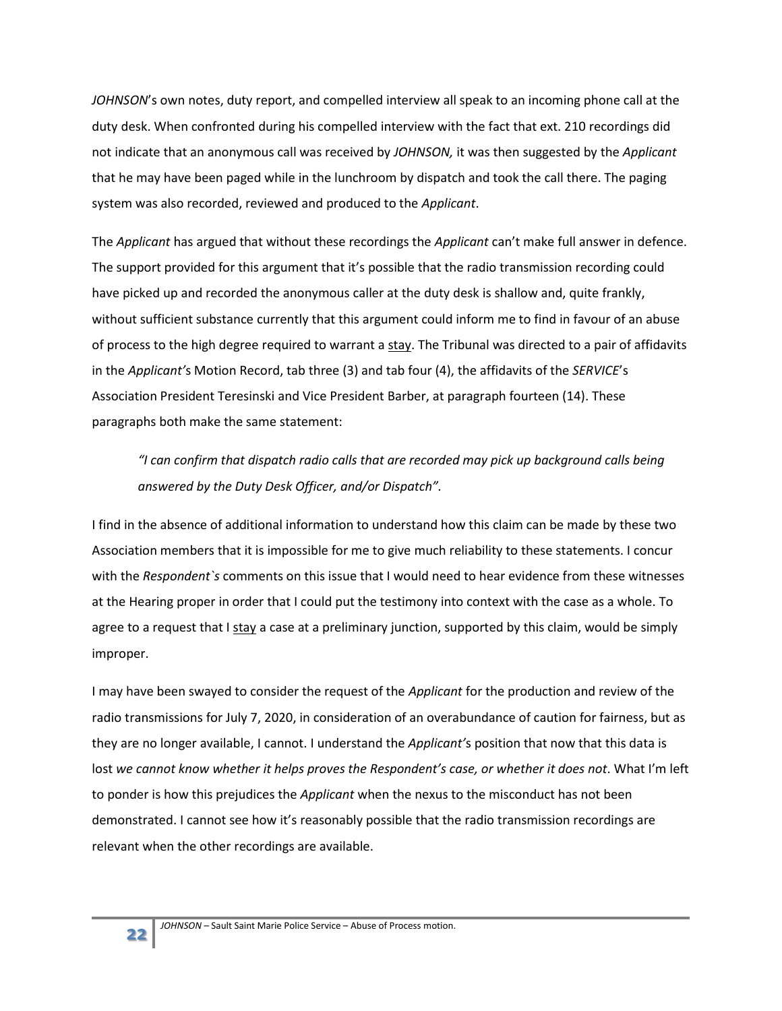*JOHNSON*'s own notes, duty report, and compelled interview all speak to an incoming phone call at the duty desk. When confronted during his compelled interview with the fact that ext. 210 recordings did not indicate that an anonymous call was received by *JOHNSON,* it was then suggested by the *Applicant* that he may have been paged while in the lunchroom by dispatch and took the call there. The paging system was also recorded, reviewed and produced to the *Applicant*.

The *Applicant* has argued that without these recordings the *Applicant* can't make full answer in defence. The support provided for this argument that it's possible that the radio transmission recording could have picked up and recorded the anonymous caller at the duty desk is shallow and, quite frankly, without sufficient substance currently that this argument could inform me to find in favour of an abuse of process to the high degree required to warrant a stay. The Tribunal was directed to a pair of affidavits in the *Applicant'*s Motion Record, tab three (3) and tab four (4), the affidavits of the *SERVICE*'s Association President Teresinski and Vice President Barber, at paragraph fourteen (14). These paragraphs both make the same statement:

*"I can confirm that dispatch radio calls that are recorded may pick up background calls being answered by the Duty Desk Officer, and/or Dispatch".*

I find in the absence of additional information to understand how this claim can be made by these two Association members that it is impossible for me to give much reliability to these statements. I concur with the *Respondent`s* comments on this issue that I would need to hear evidence from these witnesses at the Hearing proper in order that I could put the testimony into context with the case as a whole. To agree to a request that I  $\frac{\text{stay}}{\text{a}}$  a case at a preliminary junction, supported by this claim, would be simply improper.

I may have been swayed to consider the request of the *Applicant* for the production and review of the radio transmissions for July 7, 2020, in consideration of an overabundance of caution for fairness, but as they are no longer available, I cannot. I understand the *Applicant'*s position that now that this data is lost *we cannot know whether it helps proves the Respondent's case, or whether it does not*. What I'm left to ponder is how this prejudices the *Applicant* when the nexus to the misconduct has not been demonstrated. I cannot see how it's reasonably possible that the radio transmission recordings are relevant when the other recordings are available.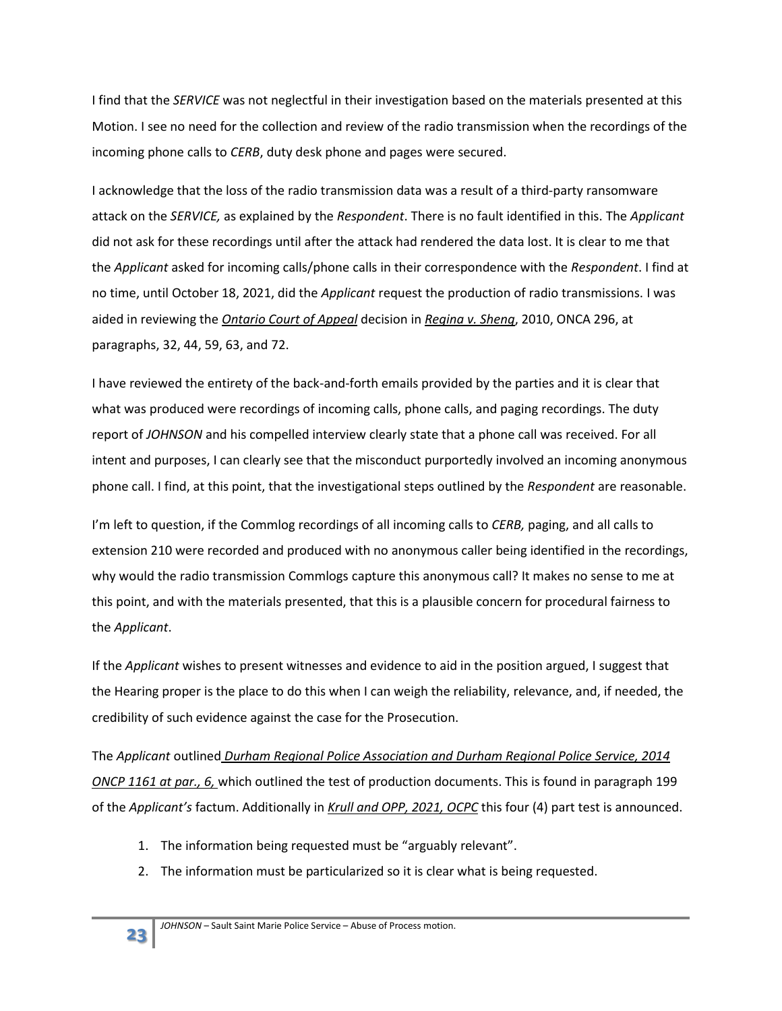I find that the *SERVICE* was not neglectful in their investigation based on the materials presented at this Motion. I see no need for the collection and review of the radio transmission when the recordings of the incoming phone calls to *CERB*, duty desk phone and pages were secured.

I acknowledge that the loss of the radio transmission data was a result of a third-party ransomware attack on the *SERVICE,* as explained by the *Respondent*. There is no fault identified in this. The *Applicant* did not ask for these recordings until after the attack had rendered the data lost. It is clear to me that the *Applicant* asked for incoming calls/phone calls in their correspondence with the *Respondent*. I find at no time, until October 18, 2021, did the *Applicant* request the production of radio transmissions. I was aided in reviewing the *Ontario Court of Appeal* decision in *Regina v. Sheng*, 2010, ONCA 296, at paragraphs, 32, 44, 59, 63, and 72.

I have reviewed the entirety of the back-and-forth emails provided by the parties and it is clear that what was produced were recordings of incoming calls, phone calls, and paging recordings. The duty report of *JOHNSON* and his compelled interview clearly state that a phone call was received. For all intent and purposes, I can clearly see that the misconduct purportedly involved an incoming anonymous phone call. I find, at this point, that the investigational steps outlined by the *Respondent* are reasonable.

I'm left to question, if the Commlog recordings of all incoming calls to *CERB,* paging, and all calls to extension 210 were recorded and produced with no anonymous caller being identified in the recordings, why would the radio transmission Commlogs capture this anonymous call? It makes no sense to me at this point, and with the materials presented, that this is a plausible concern for procedural fairness to the *Applicant*.

If the *Applicant* wishes to present witnesses and evidence to aid in the position argued, I suggest that the Hearing proper is the place to do this when I can weigh the reliability, relevance, and, if needed, the credibility of such evidence against the case for the Prosecution.

The *Applicant* outlined *Durham Regional Police Association and Durham Regional Police Service, 2014 ONCP 1161 at par., 6,* which outlined the test of production documents. This is found in paragraph 199 of the *Applicant's* factum. Additionally in *Krull and OPP, 2021, OCPC* this four (4) part test is announced.

- 1. The information being requested must be "arguably relevant".
- 2. The information must be particularized so it is clear what is being requested.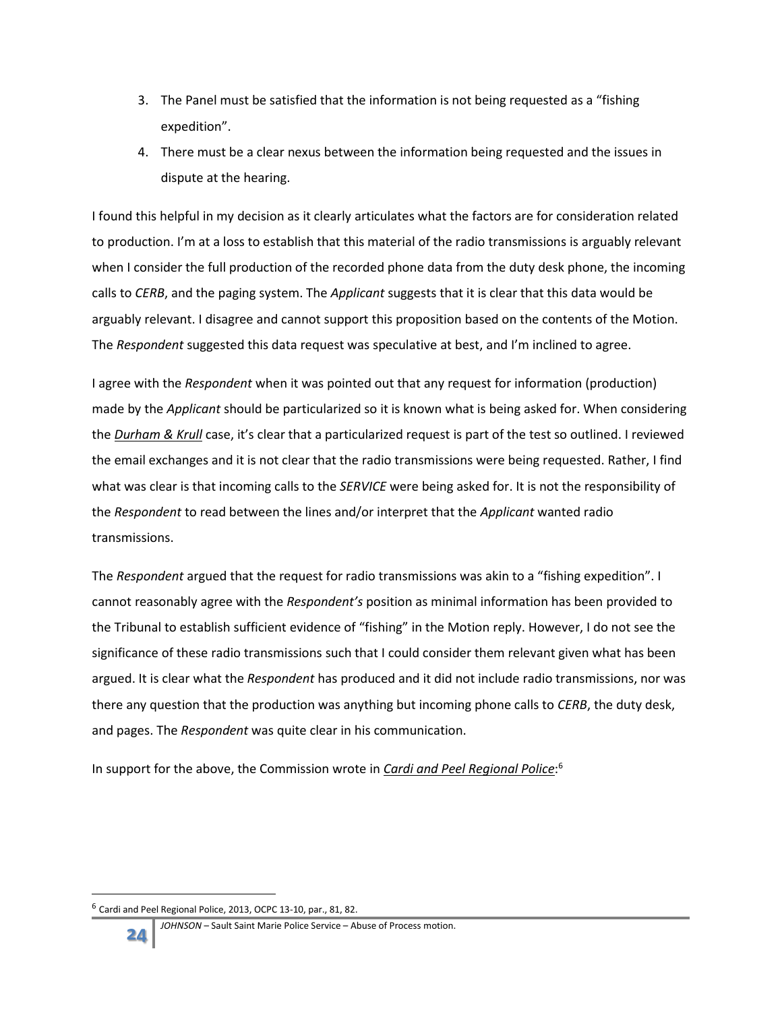- 3. The Panel must be satisfied that the information is not being requested as a "fishing expedition".
- 4. There must be a clear nexus between the information being requested and the issues in dispute at the hearing.

I found this helpful in my decision as it clearly articulates what the factors are for consideration related to production. I'm at a loss to establish that this material of the radio transmissions is arguably relevant when I consider the full production of the recorded phone data from the duty desk phone, the incoming calls to *CERB*, and the paging system. The *Applicant* suggests that it is clear that this data would be arguably relevant. I disagree and cannot support this proposition based on the contents of the Motion. The *Respondent* suggested this data request was speculative at best, and I'm inclined to agree.

I agree with the *Respondent* when it was pointed out that any request for information (production) made by the *Applicant* should be particularized so it is known what is being asked for. When considering the *Durham & Krull* case, it's clear that a particularized request is part of the test so outlined. I reviewed the email exchanges and it is not clear that the radio transmissions were being requested. Rather, I find what was clear is that incoming calls to the *SERVICE* were being asked for. It is not the responsibility of the *Respondent* to read between the lines and/or interpret that the *Applicant* wanted radio transmissions.

The *Respondent* argued that the request for radio transmissions was akin to a "fishing expedition". I cannot reasonably agree with the *Respondent's* position as minimal information has been provided to the Tribunal to establish sufficient evidence of "fishing" in the Motion reply. However, I do not see the significance of these radio transmissions such that I could consider them relevant given what has been argued. It is clear what the *Respondent* has produced and it did not include radio transmissions, nor was there any question that the production was anything but incoming phone calls to *CERB*, the duty desk, and pages. The *Respondent* was quite clear in his communication.

In support for the above, the Commission wrote in *Cardi and Peel Regional Police*: 6

<sup>6</sup> Cardi and Peel Regional Police, 2013, OCPC 13-10, par., 81, 82.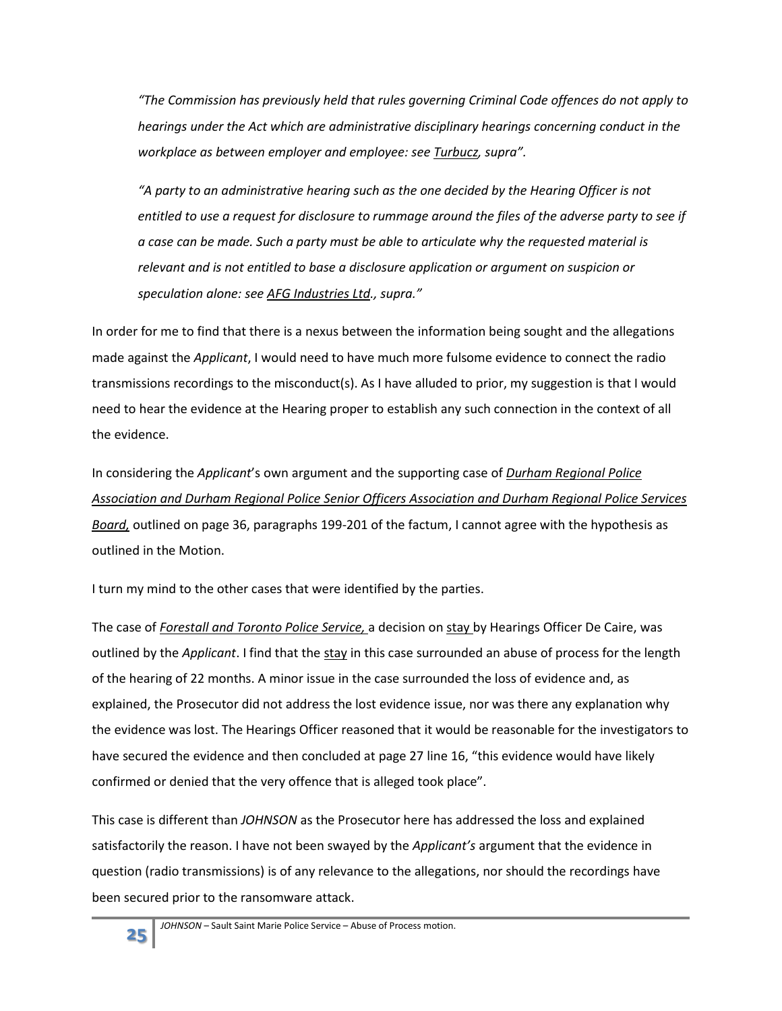*"The Commission has previously held that rules governing Criminal Code offences do not apply to hearings under the Act which are administrative disciplinary hearings concerning conduct in the workplace as between employer and employee: see Turbucz, supra".*

*"A party to an administrative hearing such as the one decided by the Hearing Officer is not entitled to use a request for disclosure to rummage around the files of the adverse party to see if a case can be made. Such a party must be able to articulate why the requested material is relevant and is not entitled to base a disclosure application or argument on suspicion or speculation alone: see AFG Industries Ltd., supra."*

In order for me to find that there is a nexus between the information being sought and the allegations made against the *Applicant*, I would need to have much more fulsome evidence to connect the radio transmissions recordings to the misconduct(s). As I have alluded to prior, my suggestion is that I would need to hear the evidence at the Hearing proper to establish any such connection in the context of all the evidence.

In considering the *Applicant*'s own argument and the supporting case of *Durham Regional Police Association and Durham Regional Police Senior Officers Association and Durham Regional Police Services Board,* outlined on page 36, paragraphs 199-201 of the factum, I cannot agree with the hypothesis as outlined in the Motion.

I turn my mind to the other cases that were identified by the parties.

The case of *Forestall and Toronto Police Service,* a decision on stay by Hearings Officer De Caire, was outlined by the *Applicant*. I find that the stay in this case surrounded an abuse of process for the length of the hearing of 22 months. A minor issue in the case surrounded the loss of evidence and, as explained, the Prosecutor did not address the lost evidence issue, nor was there any explanation why the evidence was lost. The Hearings Officer reasoned that it would be reasonable for the investigators to have secured the evidence and then concluded at page 27 line 16, "this evidence would have likely confirmed or denied that the very offence that is alleged took place".

This case is different than *JOHNSON* as the Prosecutor here has addressed the loss and explained satisfactorily the reason. I have not been swayed by the *Applicant's* argument that the evidence in question (radio transmissions) is of any relevance to the allegations, nor should the recordings have been secured prior to the ransomware attack.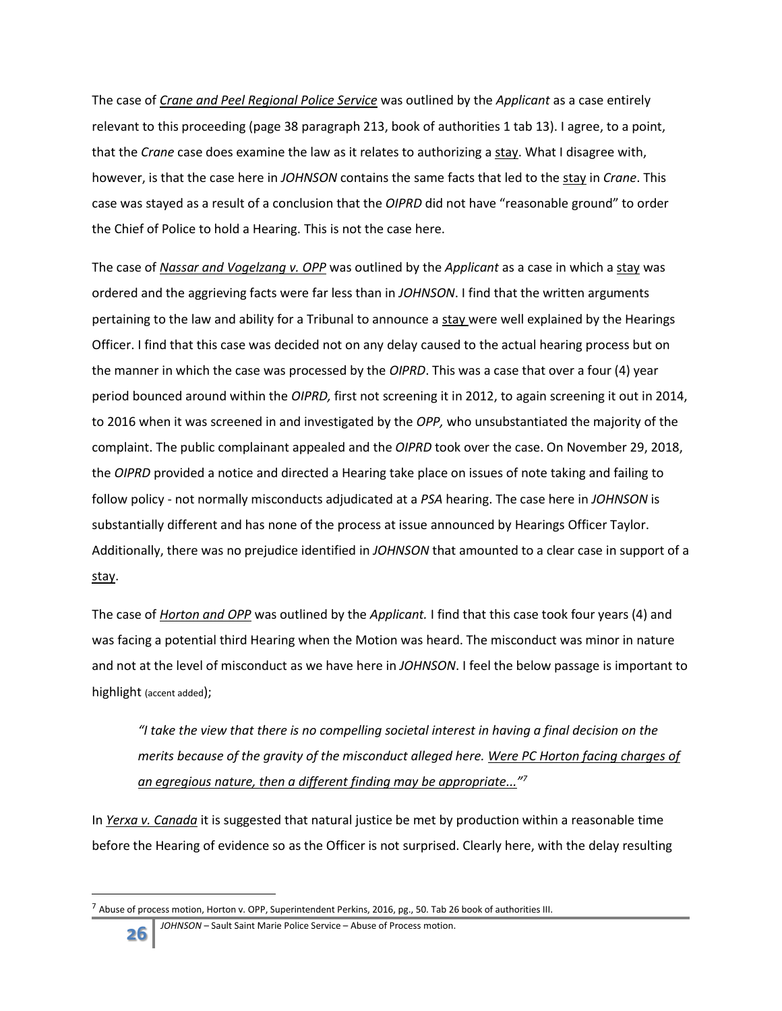The case of *Crane and Peel Regional Police Service* was outlined by the *Applicant* as a case entirely relevant to this proceeding (page 38 paragraph 213, book of authorities 1 tab 13). I agree, to a point, that the *Crane* case does examine the law as it relates to authorizing a stay. What I disagree with, however, is that the case here in *JOHNSON* contains the same facts that led to the stay in *Crane*. This case was stayed as a result of a conclusion that the *OIPRD* did not have "reasonable ground" to order the Chief of Police to hold a Hearing. This is not the case here.

The case of *Nassar and Vogelzang v. OPP* was outlined by the *Applicant* as a case in which a stay was ordered and the aggrieving facts were far less than in *JOHNSON*. I find that the written arguments pertaining to the law and ability for a Tribunal to announce a stay were well explained by the Hearings Officer. I find that this case was decided not on any delay caused to the actual hearing process but on the manner in which the case was processed by the *OIPRD*. This was a case that over a four (4) year period bounced around within the *OIPRD,* first not screening it in 2012, to again screening it out in 2014, to 2016 when it was screened in and investigated by the *OPP,* who unsubstantiated the majority of the complaint. The public complainant appealed and the *OIPRD* took over the case. On November 29, 2018, the *OIPRD* provided a notice and directed a Hearing take place on issues of note taking and failing to follow policy - not normally misconducts adjudicated at a *PSA* hearing. The case here in *JOHNSON* is substantially different and has none of the process at issue announced by Hearings Officer Taylor. Additionally, there was no prejudice identified in *JOHNSON* that amounted to a clear case in support of a stay.

The case of *Horton and OPP* was outlined by the *Applicant.* I find that this case took four years (4) and was facing a potential third Hearing when the Motion was heard. The misconduct was minor in nature and not at the level of misconduct as we have here in *JOHNSON*. I feel the below passage is important to highlight (accent added);

*"I take the view that there is no compelling societal interest in having a final decision on the merits because of the gravity of the misconduct alleged here. Were PC Horton facing charges of an egregious nature, then a different finding may be appropriate..." 7*

In *Yerxa v. Canada* it is suggested that natural justice be met by production within a reasonable time before the Hearing of evidence so as the Officer is not surprised. Clearly here, with the delay resulting

 $^7$  Abuse of process motion, Horton v. OPP, Superintendent Perkins, 2016, pg., 50. Tab 26 book of authorities III.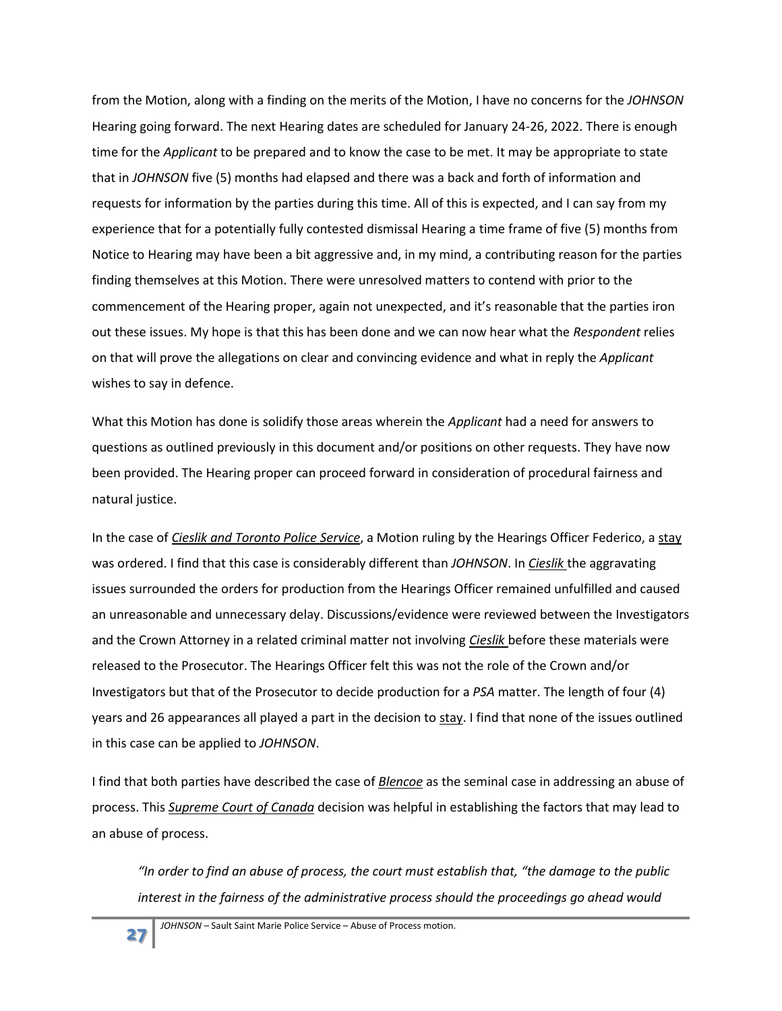from the Motion, along with a finding on the merits of the Motion, I have no concerns for the *JOHNSON* Hearing going forward. The next Hearing dates are scheduled for January 24-26, 2022. There is enough time for the *Applicant* to be prepared and to know the case to be met. It may be appropriate to state that in *JOHNSON* five (5) months had elapsed and there was a back and forth of information and requests for information by the parties during this time. All of this is expected, and I can say from my experience that for a potentially fully contested dismissal Hearing a time frame of five (5) months from Notice to Hearing may have been a bit aggressive and, in my mind, a contributing reason for the parties finding themselves at this Motion. There were unresolved matters to contend with prior to the commencement of the Hearing proper, again not unexpected, and it's reasonable that the parties iron out these issues. My hope is that this has been done and we can now hear what the *Respondent* relies on that will prove the allegations on clear and convincing evidence and what in reply the *Applicant* wishes to say in defence.

What this Motion has done is solidify those areas wherein the *Applicant* had a need for answers to questions as outlined previously in this document and/or positions on other requests. They have now been provided. The Hearing proper can proceed forward in consideration of procedural fairness and natural justice.

In the case of *Cieslik and Toronto Police Service*, a Motion ruling by the Hearings Officer Federico, a stay was ordered. I find that this case is considerably different than *JOHNSON*. In *Cieslik* the aggravating issues surrounded the orders for production from the Hearings Officer remained unfulfilled and caused an unreasonable and unnecessary delay. Discussions/evidence were reviewed between the Investigators and the Crown Attorney in a related criminal matter not involving *Cieslik* before these materials were released to the Prosecutor. The Hearings Officer felt this was not the role of the Crown and/or Investigators but that of the Prosecutor to decide production for a *PSA* matter. The length of four (4) years and 26 appearances all played a part in the decision to stay. I find that none of the issues outlined in this case can be applied to *JOHNSON*.

I find that both parties have described the case of *Blencoe* as the seminal case in addressing an abuse of process. This *Supreme Court of Canada* decision was helpful in establishing the factors that may lead to an abuse of process.

*"In order to find an abuse of process, the court must establish that, "the damage to the public interest in the fairness of the administrative process should the proceedings go ahead would*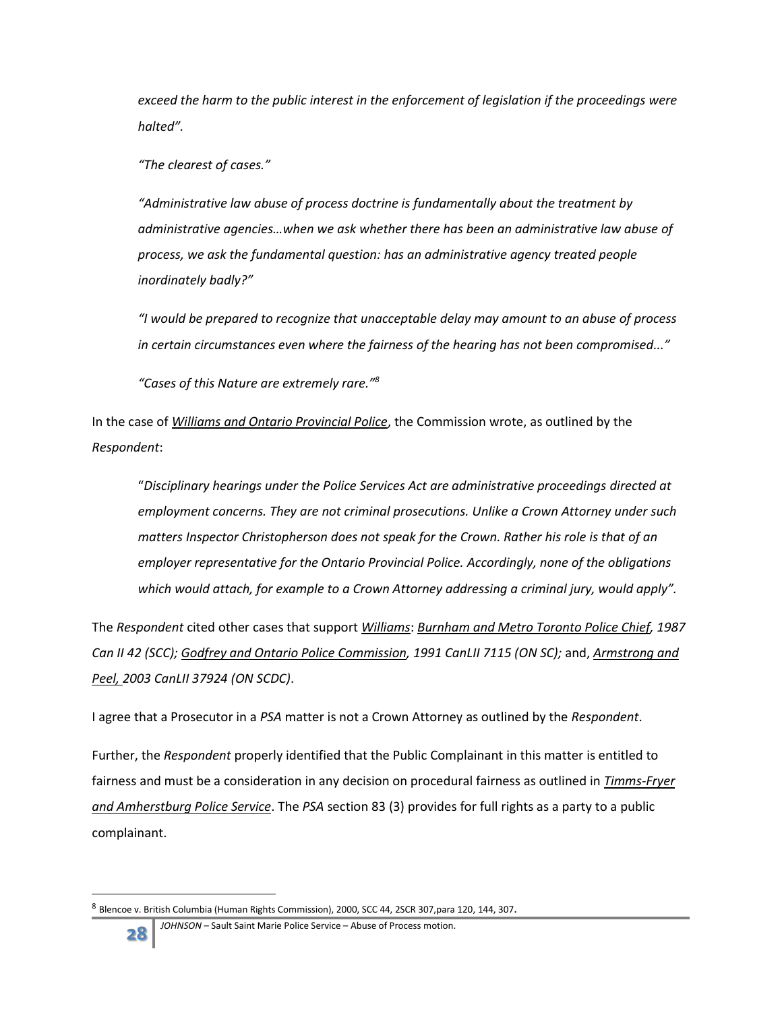*exceed the harm to the public interest in the enforcement of legislation if the proceedings were halted".*

*"The clearest of cases."*

*"Administrative law abuse of process doctrine is fundamentally about the treatment by administrative agencies…when we ask whether there has been an administrative law abuse of process, we ask the fundamental question: has an administrative agency treated people inordinately badly?"*

*"I would be prepared to recognize that unacceptable delay may amount to an abuse of process in certain circumstances even where the fairness of the hearing has not been compromised..."*

*"Cases of this Nature are extremely rare."<sup>8</sup>*

In the case of *Williams and Ontario Provincial Police*, the Commission wrote, as outlined by the *Respondent*:

"*Disciplinary hearings under the Police Services Act are administrative proceedings directed at employment concerns. They are not criminal prosecutions. Unlike a Crown Attorney under such matters Inspector Christopherson does not speak for the Crown. Rather his role is that of an employer representative for the Ontario Provincial Police. Accordingly, none of the obligations which would attach, for example to a Crown Attorney addressing a criminal jury, would apply".*

The *Respondent* cited other cases that support *Williams*: *Burnham and Metro Toronto Police Chief, 1987 Can II 42 (SCC); Godfrey and Ontario Police Commission, 1991 CanLII 7115 (ON SC);* and, *Armstrong and Peel, 2003 CanLII 37924 (ON SCDC)*.

I agree that a Prosecutor in a *PSA* matter is not a Crown Attorney as outlined by the *Respondent*.

Further, the *Respondent* properly identified that the Public Complainant in this matter is entitled to fairness and must be a consideration in any decision on procedural fairness as outlined in *Timms-Fryer and Amherstburg Police Service*. The *PSA* section 83 (3) provides for full rights as a party to a public complainant.

<sup>&</sup>lt;sup>8</sup> Blencoe v. British Columbia (Human Rights Commission), 2000, SCC 44, 2SCR 307,para 120, 144, 307.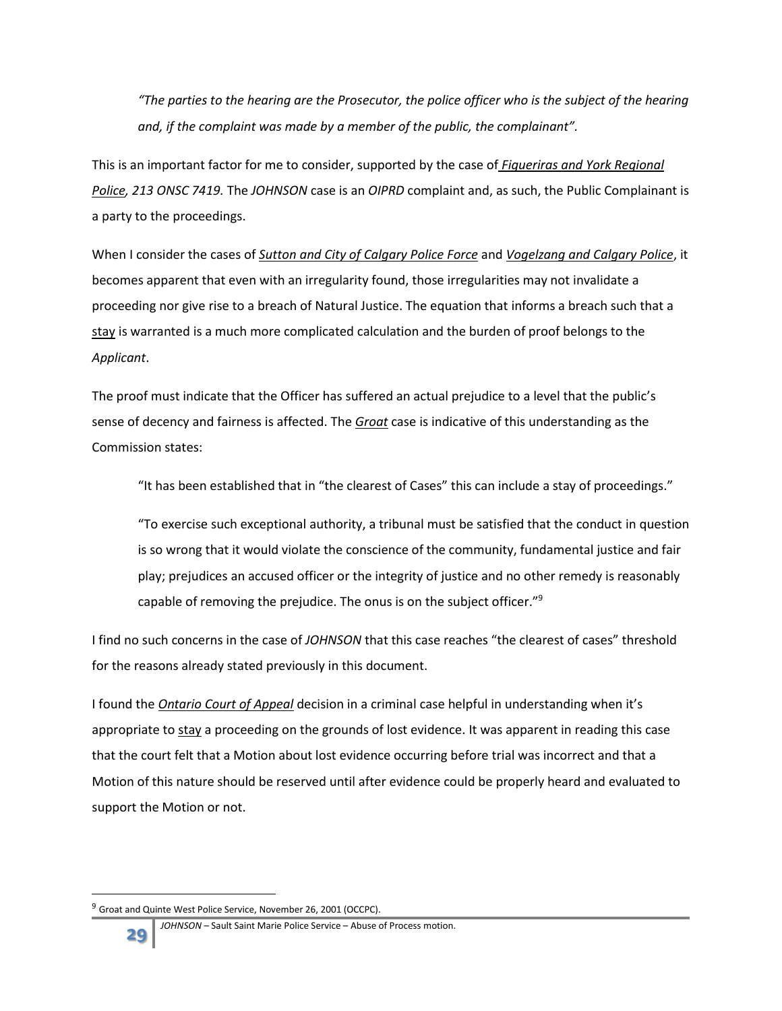*"The parties to the hearing are the Prosecutor, the police officer who is the subject of the hearing and, if the complaint was made by a member of the public, the complainant".*

This is an important factor for me to consider, supported by the case of *Figueriras and York Regional Police, 213 ONSC 7419.* The *JOHNSON* case is an *OIPRD* complaint and, as such, the Public Complainant is a party to the proceedings.

When I consider the cases of *Sutton and City of Calgary Police Force* and *Vogelzang and Calgary Police*, it becomes apparent that even with an irregularity found, those irregularities may not invalidate a proceeding nor give rise to a breach of Natural Justice. The equation that informs a breach such that a stay is warranted is a much more complicated calculation and the burden of proof belongs to the *Applicant*.

The proof must indicate that the Officer has suffered an actual prejudice to a level that the public's sense of decency and fairness is affected. The *Groat* case is indicative of this understanding as the Commission states:

"It has been established that in "the clearest of Cases" this can include a stay of proceedings."

"To exercise such exceptional authority, a tribunal must be satisfied that the conduct in question is so wrong that it would violate the conscience of the community, fundamental justice and fair play; prejudices an accused officer or the integrity of justice and no other remedy is reasonably capable of removing the prejudice. The onus is on the subject officer."<sup>9</sup>

I find no such concerns in the case of *JOHNSON* that this case reaches "the clearest of cases" threshold for the reasons already stated previously in this document.

I found the *Ontario Court of Appeal* decision in a criminal case helpful in understanding when it's appropriate to stay a proceeding on the grounds of lost evidence. It was apparent in reading this case that the court felt that a Motion about lost evidence occurring before trial was incorrect and that a Motion of this nature should be reserved until after evidence could be properly heard and evaluated to support the Motion or not.

 $9$  Groat and Quinte West Police Service, November 26, 2001 (OCCPC).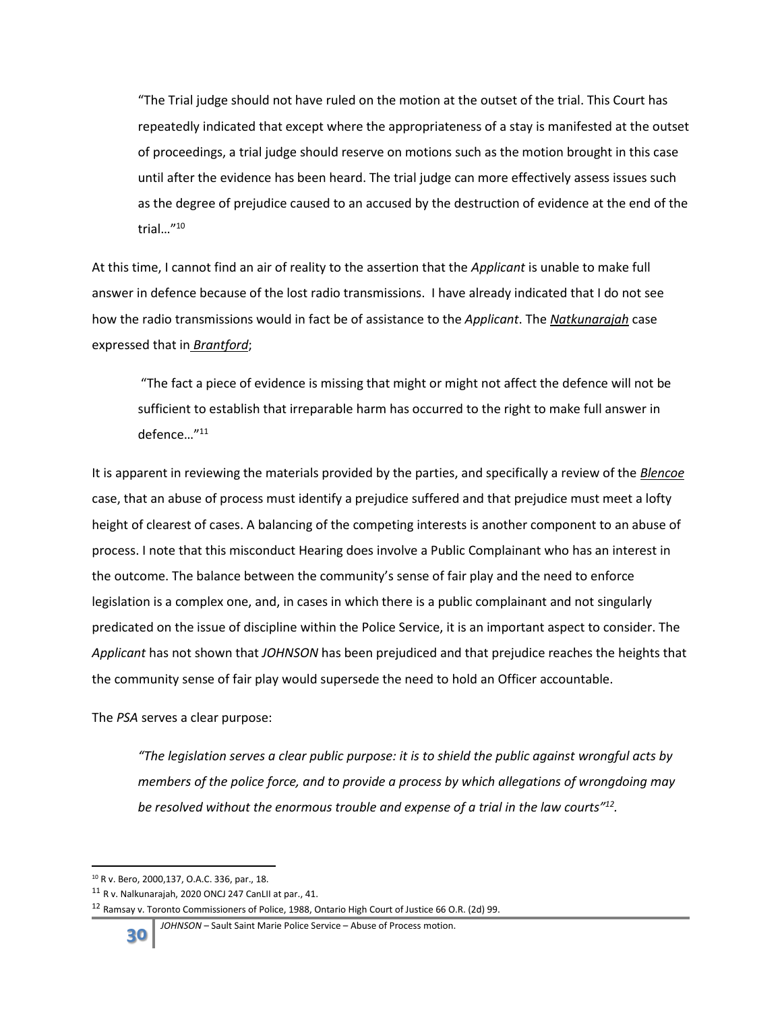"The Trial judge should not have ruled on the motion at the outset of the trial. This Court has repeatedly indicated that except where the appropriateness of a stay is manifested at the outset of proceedings, a trial judge should reserve on motions such as the motion brought in this case until after the evidence has been heard. The trial judge can more effectively assess issues such as the degree of prejudice caused to an accused by the destruction of evidence at the end of the trial…"<sup>10</sup>

At this time, I cannot find an air of reality to the assertion that the *Applicant* is unable to make full answer in defence because of the lost radio transmissions. I have already indicated that I do not see how the radio transmissions would in fact be of assistance to the *Applicant*. The *Natkunarajah* case expressed that in *Brantford*;

"The fact a piece of evidence is missing that might or might not affect the defence will not be sufficient to establish that irreparable harm has occurred to the right to make full answer in defence…"<sup>11</sup>

It is apparent in reviewing the materials provided by the parties, and specifically a review of the *Blencoe* case, that an abuse of process must identify a prejudice suffered and that prejudice must meet a lofty height of clearest of cases. A balancing of the competing interests is another component to an abuse of process. I note that this misconduct Hearing does involve a Public Complainant who has an interest in the outcome. The balance between the community's sense of fair play and the need to enforce legislation is a complex one, and, in cases in which there is a public complainant and not singularly predicated on the issue of discipline within the Police Service, it is an important aspect to consider. The *Applicant* has not shown that *JOHNSON* has been prejudiced and that prejudice reaches the heights that the community sense of fair play would supersede the need to hold an Officer accountable.

The *PSA* serves a clear purpose:

*"The legislation serves a clear public purpose: it is to shield the public against wrongful acts by members of the police force, and to provide a process by which allegations of wrongdoing may be resolved without the enormous trouble and expense of a trial in the law courts" 12 .*

 $\overline{\phantom{a}}$ <sup>10</sup> R v. Bero, 2000,137, O.A.C. 336, par., 18.

<sup>11</sup> R v. Nalkunarajah, 2020 ONCJ 247 CanLII at par., 41.

<sup>12</sup> Ramsay v. Toronto Commissioners of Police, 1988, Ontario High Court of Justice 66 O.R. (2d) 99.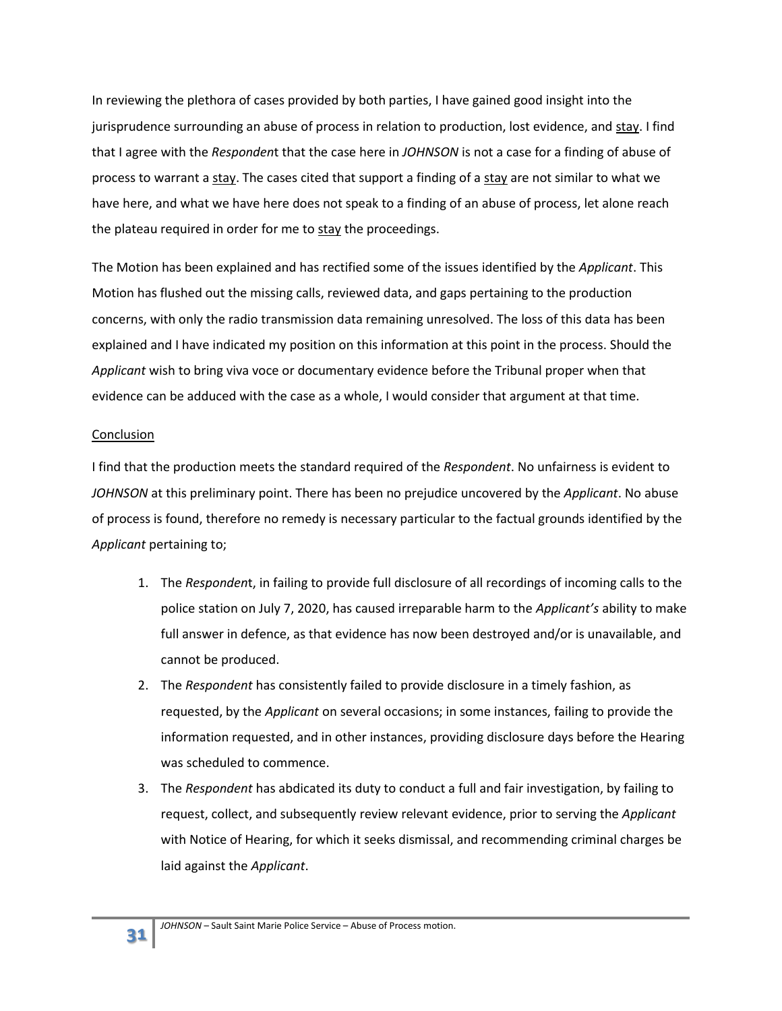In reviewing the plethora of cases provided by both parties, I have gained good insight into the jurisprudence surrounding an abuse of process in relation to production, lost evidence, and stay. I find that I agree with the *Responden*t that the case here in *JOHNSON* is not a case for a finding of abuse of process to warrant a stay. The cases cited that support a finding of a stay are not similar to what we have here, and what we have here does not speak to a finding of an abuse of process, let alone reach the plateau required in order for me to stay the proceedings.

The Motion has been explained and has rectified some of the issues identified by the *Applicant*. This Motion has flushed out the missing calls, reviewed data, and gaps pertaining to the production concerns, with only the radio transmission data remaining unresolved. The loss of this data has been explained and I have indicated my position on this information at this point in the process. Should the *Applicant* wish to bring viva voce or documentary evidence before the Tribunal proper when that evidence can be adduced with the case as a whole, I would consider that argument at that time.

## **Conclusion**

I find that the production meets the standard required of the *Respondent*. No unfairness is evident to *JOHNSON* at this preliminary point. There has been no prejudice uncovered by the *Applicant*. No abuse of process is found, therefore no remedy is necessary particular to the factual grounds identified by the *Applicant* pertaining to;

- 1. The *Responden*t, in failing to provide full disclosure of all recordings of incoming calls to the police station on July 7, 2020, has caused irreparable harm to the *Applicant's* ability to make full answer in defence, as that evidence has now been destroyed and/or is unavailable, and cannot be produced.
- 2. The *Respondent* has consistently failed to provide disclosure in a timely fashion, as requested, by the *Applicant* on several occasions; in some instances, failing to provide the information requested, and in other instances, providing disclosure days before the Hearing was scheduled to commence.
- 3. The *Respondent* has abdicated its duty to conduct a full and fair investigation, by failing to request, collect, and subsequently review relevant evidence, prior to serving the *Applicant* with Notice of Hearing, for which it seeks dismissal, and recommending criminal charges be laid against the *Applicant*.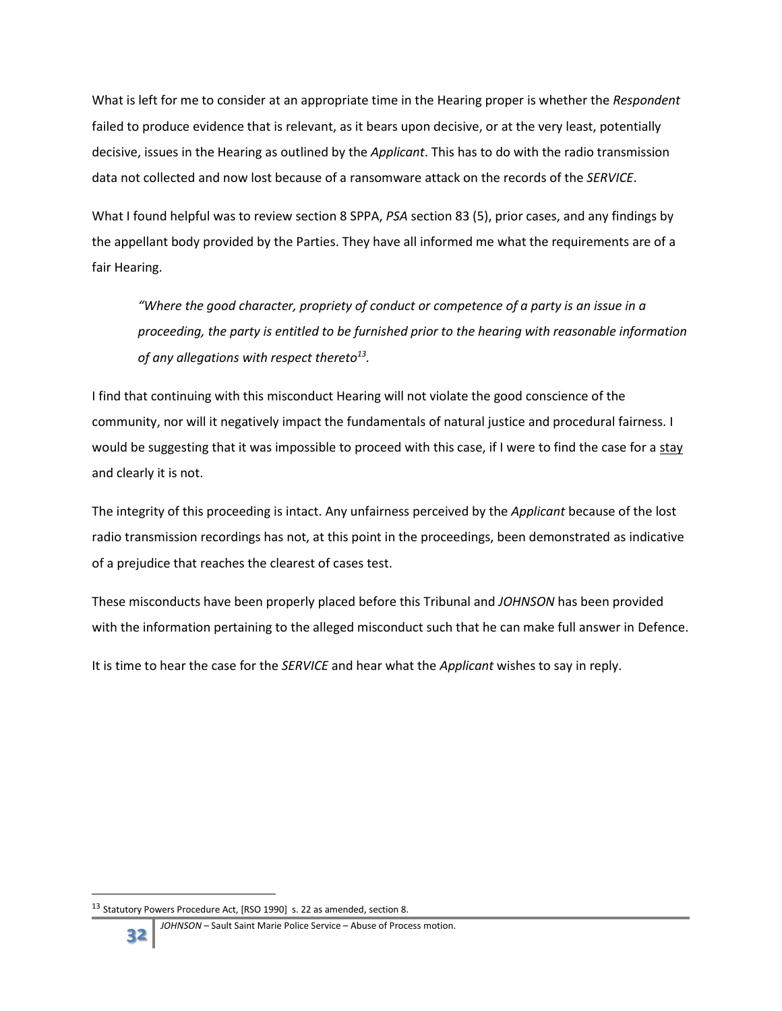What is left for me to consider at an appropriate time in the Hearing proper is whether the *Respondent*  failed to produce evidence that is relevant, as it bears upon decisive, or at the very least, potentially decisive, issues in the Hearing as outlined by the *Applicant*. This has to do with the radio transmission data not collected and now lost because of a ransomware attack on the records of the *SERVICE*.

What I found helpful was to review section 8 SPPA, *PSA* section 83 (5), prior cases, and any findings by the appellant body provided by the Parties. They have all informed me what the requirements are of a fair Hearing.

*"Where the good character, propriety of conduct or competence of a party is an issue in a proceeding, the party is entitled to be furnished prior to the hearing with reasonable information of any allegations with respect thereto<sup>13</sup> .*

I find that continuing with this misconduct Hearing will not violate the good conscience of the community, nor will it negatively impact the fundamentals of natural justice and procedural fairness. I would be suggesting that it was impossible to proceed with this case, if I were to find the case for a stay and clearly it is not.

The integrity of this proceeding is intact. Any unfairness perceived by the *Applicant* because of the lost radio transmission recordings has not, at this point in the proceedings, been demonstrated as indicative of a prejudice that reaches the clearest of cases test.

These misconducts have been properly placed before this Tribunal and *JOHNSON* has been provided with the information pertaining to the alleged misconduct such that he can make full answer in Defence.

It is time to hear the case for the *SERVICE* and hear what the *Applicant* wishes to say in reply.

<sup>&</sup>lt;sup>13</sup> Statutory Powers Procedure Act, [RSO 1990] s. 22 as amended, section 8.